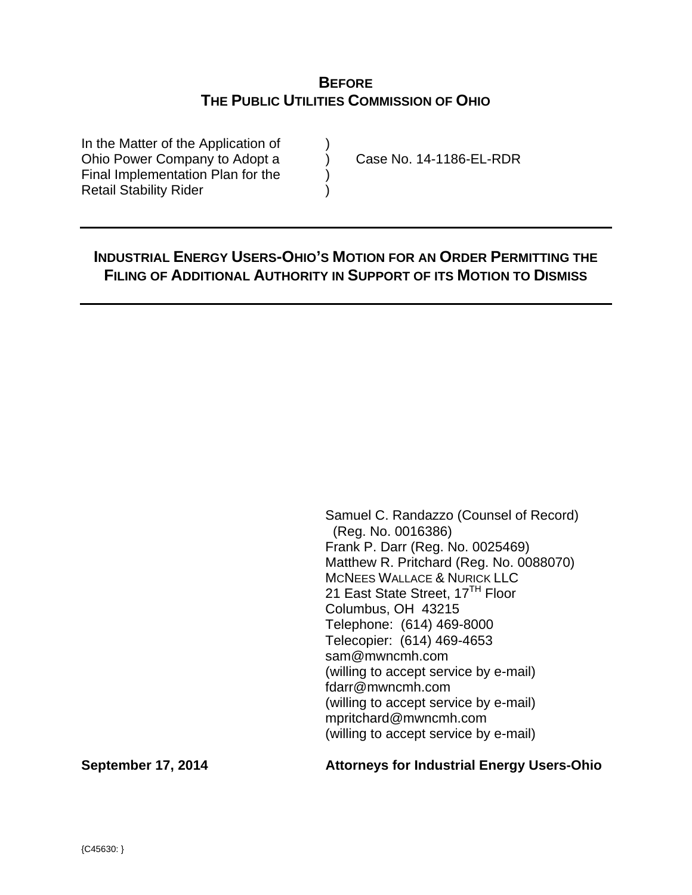# **BEFORE THE PUBLIC UTILITIES COMMISSION OF OHIO**

In the Matter of the Application of Ohio Power Company to Adopt a (a) Case No. 14-1186-EL-RDR Final Implementation Plan for the  $\qquad)$ Retail Stability Rider )

# **INDUSTRIAL ENERGY USERS-OHIO'S MOTION FOR AN ORDER PERMITTING THE FILING OF ADDITIONAL AUTHORITY IN SUPPORT OF ITS MOTION TO DISMISS**

Samuel C. Randazzo (Counsel of Record) (Reg. No. 0016386) Frank P. Darr (Reg. No. 0025469) Matthew R. Pritchard (Reg. No. 0088070) MCNEES WALLACE & NURICK LLC 21 East State Street, 17<sup>TH</sup> Floor Columbus, OH 43215 Telephone: (614) 469-8000 Telecopier: (614) 469-4653 sam@mwncmh.com (willing to accept service by e-mail) fdarr@mwncmh.com (willing to accept service by e-mail) mpritchard@mwncmh.com (willing to accept service by e-mail)

**September 17, 2014 Attorneys for Industrial Energy Users-Ohio**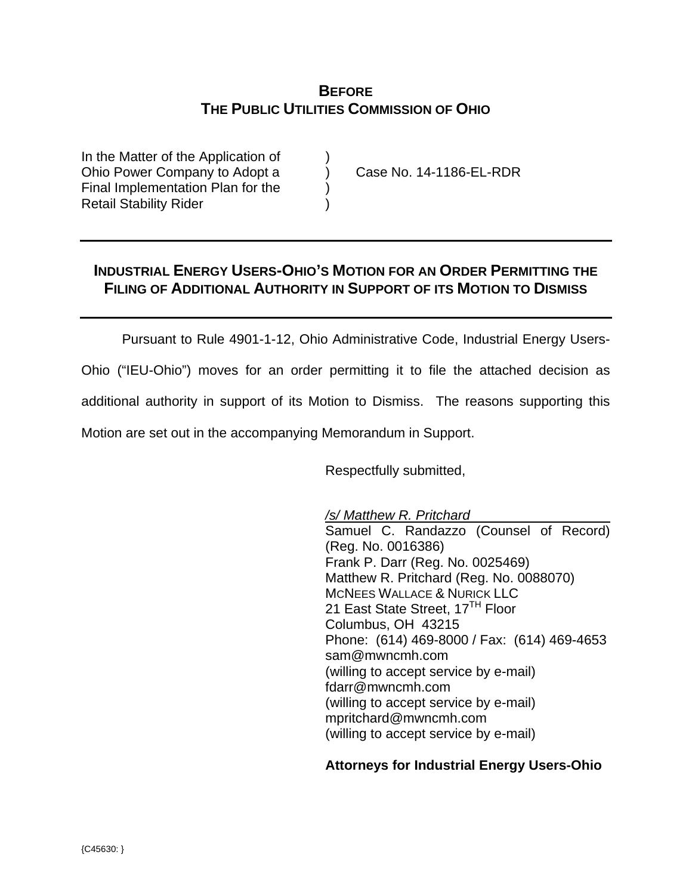# **BEFORE THE PUBLIC UTILITIES COMMISSION OF OHIO**

In the Matter of the Application of Ohio Power Company to Adopt a (a) Case No. 14-1186-EL-RDR Final Implementation Plan for the ) Retail Stability Rider )

# **INDUSTRIAL ENERGY USERS-OHIO'S MOTION FOR AN ORDER PERMITTING THE FILING OF ADDITIONAL AUTHORITY IN SUPPORT OF ITS MOTION TO DISMISS**

Pursuant to Rule 4901-1-12, Ohio Administrative Code, Industrial Energy Users-

Ohio ("IEU-Ohio") moves for an order permitting it to file the attached decision as

additional authority in support of its Motion to Dismiss. The reasons supporting this

Motion are set out in the accompanying Memorandum in Support.

Respectfully submitted,

 */s/ Matthew R. Pritchard*  Samuel C. Randazzo (Counsel of Record) (Reg. No. 0016386) Frank P. Darr (Reg. No. 0025469) Matthew R. Pritchard (Reg. No. 0088070) MCNEES WALLACE & NURICK LLC 21 East State Street, 17<sup>TH</sup> Floor Columbus, OH 43215 Phone: (614) 469-8000 / Fax: (614) 469-4653 sam@mwncmh.com (willing to accept service by e-mail) fdarr@mwncmh.com (willing to accept service by e-mail) mpritchard@mwncmh.com (willing to accept service by e-mail)

# **Attorneys for Industrial Energy Users-Ohio**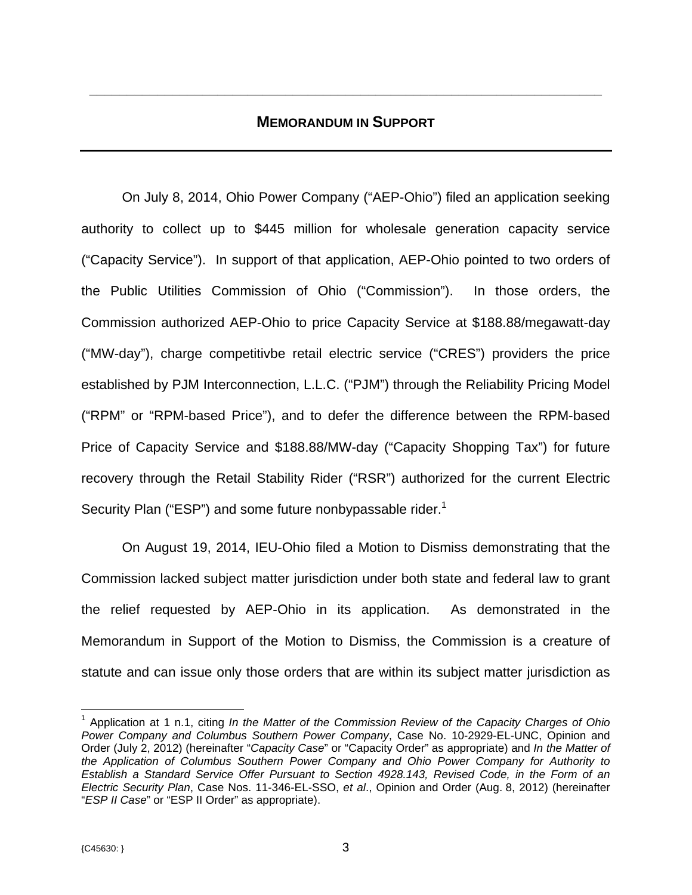# **MEMORANDUM IN SUPPORT**

**\_\_\_\_\_\_\_\_\_\_\_\_\_\_\_\_\_\_\_\_\_\_\_\_\_\_\_\_\_\_\_\_\_\_\_\_\_\_\_\_\_\_\_\_\_\_\_\_\_\_\_\_\_\_\_\_\_\_\_\_\_\_\_\_\_\_\_\_** 

On July 8, 2014, Ohio Power Company ("AEP-Ohio") filed an application seeking authority to collect up to \$445 million for wholesale generation capacity service ("Capacity Service"). In support of that application, AEP-Ohio pointed to two orders of the Public Utilities Commission of Ohio ("Commission"). In those orders, the Commission authorized AEP-Ohio to price Capacity Service at \$188.88/megawatt-day ("MW-day"), charge competitivbe retail electric service ("CRES") providers the price established by PJM Interconnection, L.L.C. ("PJM") through the Reliability Pricing Model ("RPM" or "RPM-based Price"), and to defer the difference between the RPM-based Price of Capacity Service and \$188.88/MW-day ("Capacity Shopping Tax") for future recovery through the Retail Stability Rider ("RSR") authorized for the current Electric Security Plan ("ESP") and some future nonbypassable rider.<sup>1</sup>

On August 19, 2014, IEU-Ohio filed a Motion to Dismiss demonstrating that the Commission lacked subject matter jurisdiction under both state and federal law to grant the relief requested by AEP-Ohio in its application. As demonstrated in the Memorandum in Support of the Motion to Dismiss, the Commission is a creature of statute and can issue only those orders that are within its subject matter jurisdiction as

 $\overline{a}$ 

<sup>&</sup>lt;sup>1</sup> Application at 1 n.1, citing *In the Matter of the Commission Review of the Capacity Charges of Ohio Power Company and Columbus Southern Power Company*, Case No. 10-2929-EL-UNC, Opinion and Order (July 2, 2012) (hereinafter "*Capacity Case*" or "Capacity Order" as appropriate) and *In the Matter of the Application of Columbus Southern Power Company and Ohio Power Company for Authority to Establish a Standard Service Offer Pursuant to Section 4928.143, Revised Code, in the Form of an Electric Security Plan*, Case Nos. 11-346-EL-SSO, *et al*., Opinion and Order (Aug. 8, 2012) (hereinafter "*ESP II Case*" or "ESP II Order" as appropriate).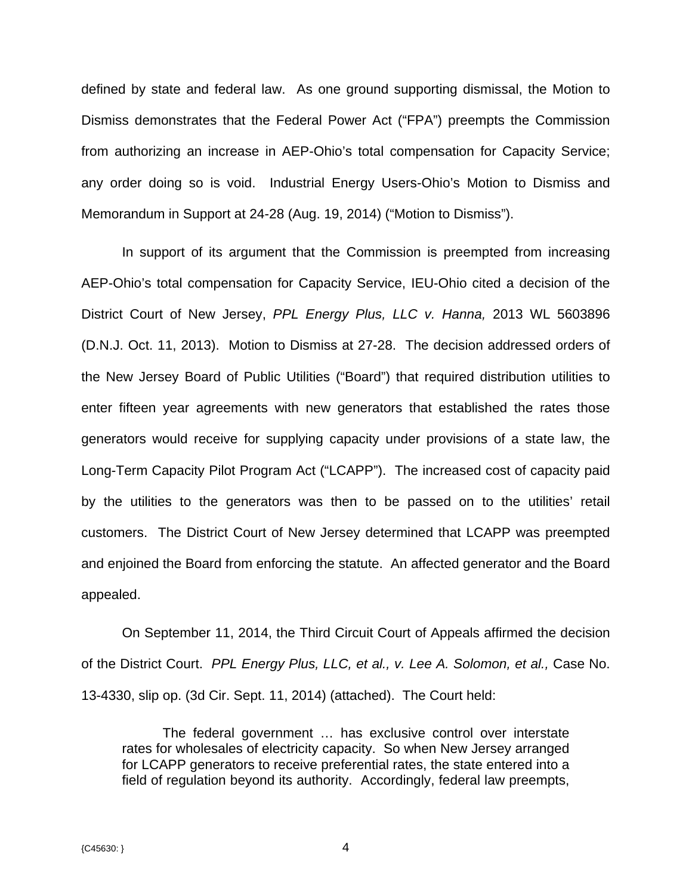defined by state and federal law. As one ground supporting dismissal, the Motion to Dismiss demonstrates that the Federal Power Act ("FPA") preempts the Commission from authorizing an increase in AEP-Ohio's total compensation for Capacity Service; any order doing so is void. Industrial Energy Users-Ohio's Motion to Dismiss and Memorandum in Support at 24-28 (Aug. 19, 2014) ("Motion to Dismiss").

In support of its argument that the Commission is preempted from increasing AEP-Ohio's total compensation for Capacity Service, IEU-Ohio cited a decision of the District Court of New Jersey, *PPL Energy Plus, LLC v. Hanna,* 2013 WL 5603896 (D.N.J. Oct. 11, 2013). Motion to Dismiss at 27-28. The decision addressed orders of the New Jersey Board of Public Utilities ("Board") that required distribution utilities to enter fifteen year agreements with new generators that established the rates those generators would receive for supplying capacity under provisions of a state law, the Long-Term Capacity Pilot Program Act ("LCAPP"). The increased cost of capacity paid by the utilities to the generators was then to be passed on to the utilities' retail customers. The District Court of New Jersey determined that LCAPP was preempted and enjoined the Board from enforcing the statute. An affected generator and the Board appealed.

On September 11, 2014, the Third Circuit Court of Appeals affirmed the decision of the District Court. *PPL Energy Plus, LLC, et al., v. Lee A. Solomon, et al.,* Case No. 13-4330, slip op. (3d Cir. Sept. 11, 2014) (attached). The Court held:

The federal government … has exclusive control over interstate rates for wholesales of electricity capacity. So when New Jersey arranged for LCAPP generators to receive preferential rates, the state entered into a field of regulation beyond its authority. Accordingly, federal law preempts,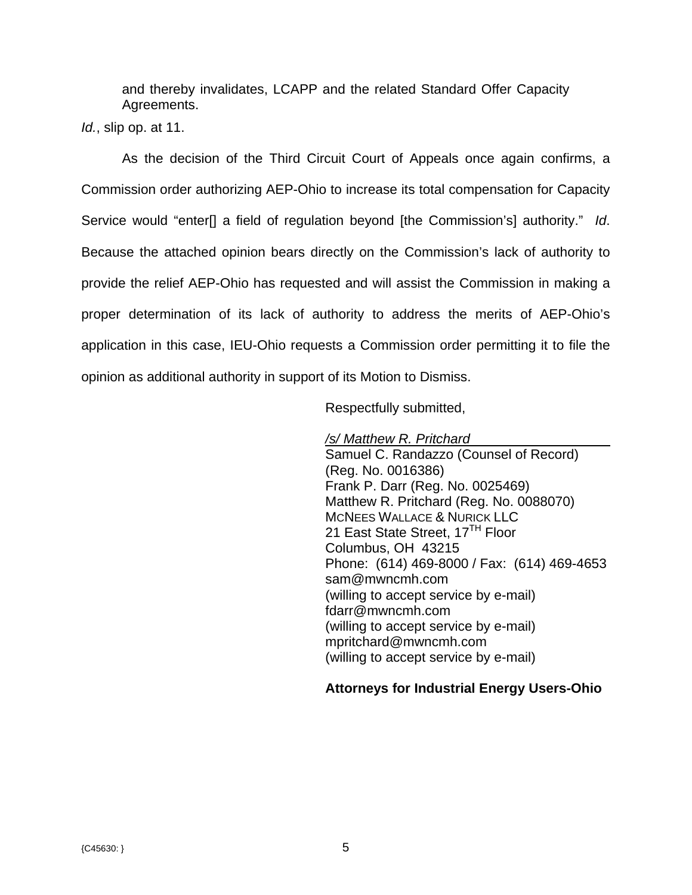and thereby invalidates, LCAPP and the related Standard Offer Capacity Agreements.

*Id.*, slip op. at 11.

As the decision of the Third Circuit Court of Appeals once again confirms, a Commission order authorizing AEP-Ohio to increase its total compensation for Capacity Service would "enter[] a field of regulation beyond [the Commission's] authority." *Id*. Because the attached opinion bears directly on the Commission's lack of authority to provide the relief AEP-Ohio has requested and will assist the Commission in making a proper determination of its lack of authority to address the merits of AEP-Ohio's application in this case, IEU-Ohio requests a Commission order permitting it to file the opinion as additional authority in support of its Motion to Dismiss.

Respectfully submitted,

 */s/ Matthew R. Pritchard* 

Samuel C. Randazzo (Counsel of Record) (Reg. No. 0016386) Frank P. Darr (Reg. No. 0025469) Matthew R. Pritchard (Reg. No. 0088070) MCNEES WALLACE & NURICK LLC 21 East State Street, 17<sup>TH</sup> Floor Columbus, OH 43215 Phone: (614) 469-8000 / Fax: (614) 469-4653 sam@mwncmh.com (willing to accept service by e-mail) fdarr@mwncmh.com (willing to accept service by e-mail) mpritchard@mwncmh.com (willing to accept service by e-mail)

# **Attorneys for Industrial Energy Users-Ohio**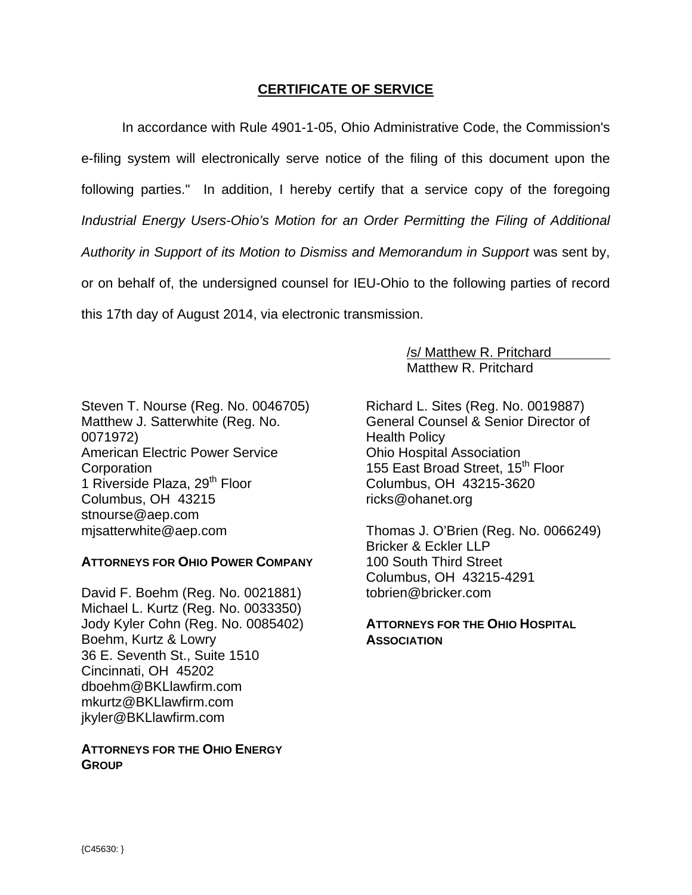# **CERTIFICATE OF SERVICE**

In accordance with Rule 4901-1-05, Ohio Administrative Code, the Commission's e-filing system will electronically serve notice of the filing of this document upon the following parties." In addition, I hereby certify that a service copy of the foregoing *Industrial Energy Users-Ohio's Motion for an Order Permitting the Filing of Additional Authority in Support of its Motion to Dismiss and Memorandum in Support* was sent by, or on behalf of, the undersigned counsel for IEU-Ohio to the following parties of record this 17th day of August 2014, via electronic transmission.

> /s/ Matthew R. Pritchard Matthew R. Pritchard

Steven T. Nourse (Reg. No. 0046705) Matthew J. Satterwhite (Reg. No. 0071972) American Electric Power Service **Corporation** 1 Riverside Plaza, 29<sup>th</sup> Floor Columbus, OH 43215 stnourse@aep.com mjsatterwhite@aep.com

### **ATTORNEYS FOR OHIO POWER COMPANY**

David F. Boehm (Reg. No. 0021881) Michael L. Kurtz (Reg. No. 0033350) Jody Kyler Cohn (Reg. No. 0085402) Boehm, Kurtz & Lowry 36 E. Seventh St., Suite 1510 Cincinnati, OH 45202 dboehm@BKLlawfirm.com mkurtz@BKLlawfirm.com jkyler@BKLlawfirm.com

## **ATTORNEYS FOR THE OHIO ENERGY GROUP**

Richard L. Sites (Reg. No. 0019887) General Counsel & Senior Director of Health Policy Ohio Hospital Association 155 East Broad Street, 15<sup>th</sup> Floor Columbus, OH 43215-3620 ricks@ohanet.org

Thomas J. O'Brien (Reg. No. 0066249) Bricker & Eckler LLP 100 South Third Street Columbus, OH 43215-4291 tobrien@bricker.com

## **ATTORNEYS FOR THE OHIO HOSPITAL ASSOCIATION**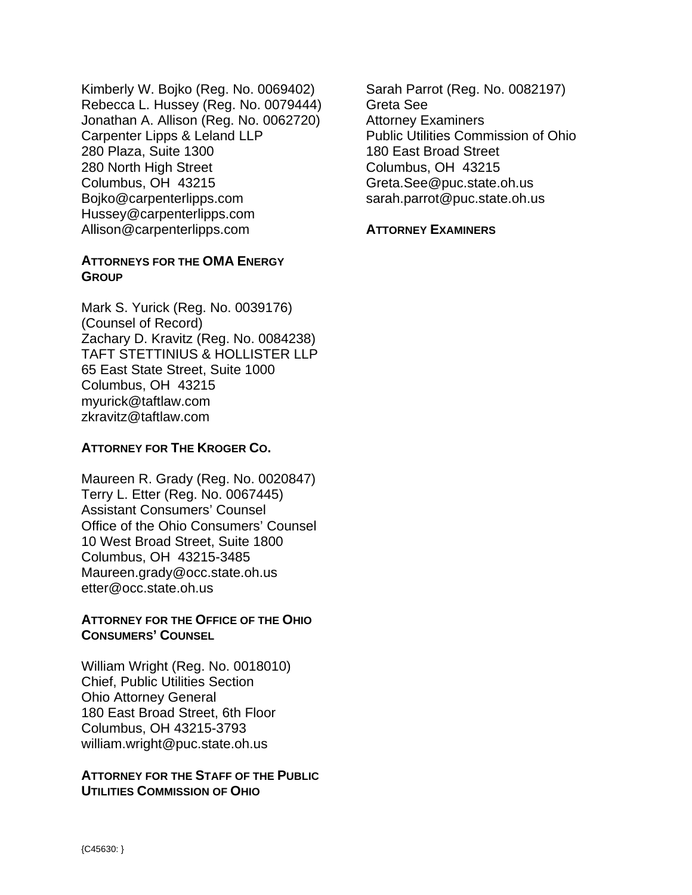Kimberly W. Bojko (Reg. No. 0069402) Rebecca L. Hussey (Reg. No. 0079444) Jonathan A. Allison (Reg. No. 0062720) Carpenter Lipps & Leland LLP 280 Plaza, Suite 1300 280 North High Street Columbus, OH 43215 Bojko@carpenterlipps.com Hussey@carpenterlipps.com Allison@carpenterlipps.com

## **ATTORNEYS FOR THE OMA ENERGY GROUP**

Mark S. Yurick (Reg. No. 0039176) (Counsel of Record) Zachary D. Kravitz (Reg. No. 0084238) TAFT STETTINIUS & HOLLISTER LLP 65 East State Street, Suite 1000 Columbus, OH 43215 myurick@taftlaw.com zkravitz@taftlaw.com

# **ATTORNEY FOR THE KROGER CO.**

Maureen R. Grady (Reg. No. 0020847) Terry L. Etter (Reg. No. 0067445) Assistant Consumers' Counsel Office of the Ohio Consumers' Counsel 10 West Broad Street, Suite 1800 Columbus, OH 43215-3485 Maureen.grady@occ.state.oh.us etter@occ.state.oh.us

### **ATTORNEY FOR THE OFFICE OF THE OHIO CONSUMERS' COUNSEL**

William Wright (Reg. No. 0018010) Chief, Public Utilities Section Ohio Attorney General 180 East Broad Street, 6th Floor Columbus, OH 43215-3793 william.wright@puc.state.oh.us

### **ATTORNEY FOR THE STAFF OF THE PUBLIC UTILITIES COMMISSION OF OHIO**

Sarah Parrot (Reg. No. 0082197) Greta See Attorney Examiners Public Utilities Commission of Ohio 180 East Broad Street Columbus, OH 43215 Greta.See@puc.state.oh.us sarah.parrot@puc.state.oh.us

### **ATTORNEY EXAMINERS**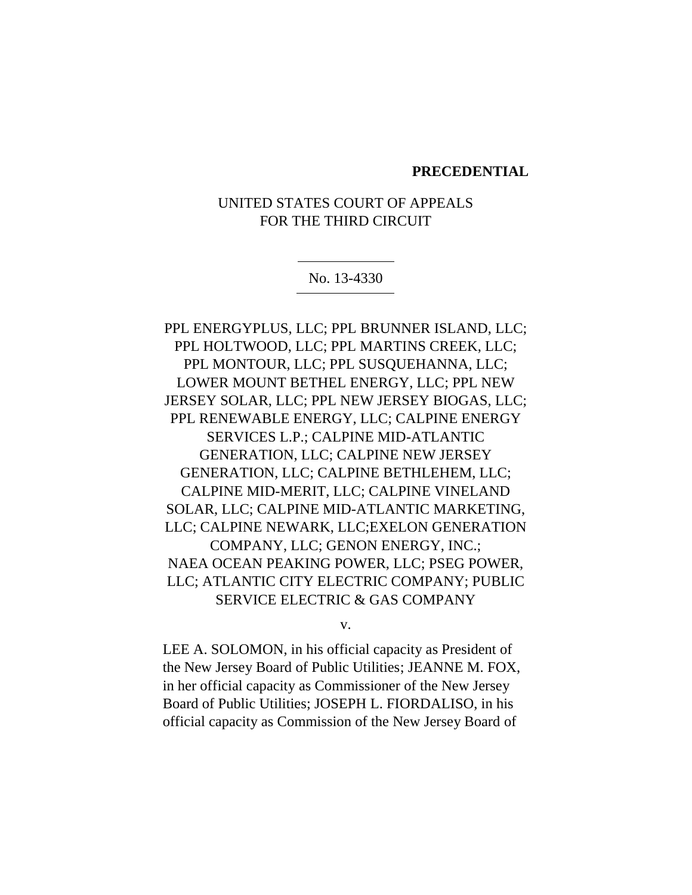#### **PRECEDENTIAL**

# UNITED STATES COURT OF APPEALS FOR THE THIRD CIRCUIT

#### No. 13-4330

PPL ENERGYPLUS, LLC; PPL BRUNNER ISLAND, LLC; PPL HOLTWOOD, LLC; PPL MARTINS CREEK, LLC; PPL MONTOUR, LLC; PPL SUSQUEHANNA, LLC; LOWER MOUNT BETHEL ENERGY, LLC; PPL NEW JERSEY SOLAR, LLC; PPL NEW JERSEY BIOGAS, LLC; PPL RENEWABLE ENERGY, LLC; CALPINE ENERGY SERVICES L.P.; CALPINE MID-ATLANTIC GENERATION, LLC; CALPINE NEW JERSEY GENERATION, LLC; CALPINE BETHLEHEM, LLC; CALPINE MID-MERIT, LLC; CALPINE VINELAND SOLAR, LLC; CALPINE MID-ATLANTIC MARKETING, LLC; CALPINE NEWARK, LLC;EXELON GENERATION COMPANY, LLC; GENON ENERGY, INC.; NAEA OCEAN PEAKING POWER, LLC; PSEG POWER, LLC; ATLANTIC CITY ELECTRIC COMPANY; PUBLIC SERVICE ELECTRIC & GAS COMPANY

v.

LEE A. SOLOMON, in his official capacity as President of the New Jersey Board of Public Utilities; JEANNE M. FOX, in her official capacity as Commissioner of the New Jersey Board of Public Utilities; JOSEPH L. FIORDALISO, in his official capacity as Commission of the New Jersey Board of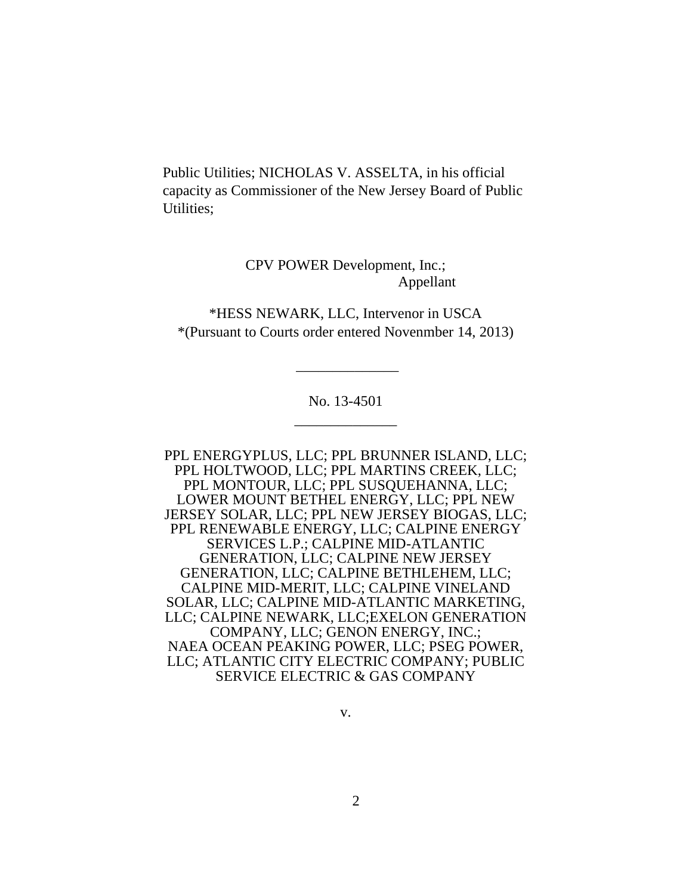Public Utilities; NICHOLAS V. ASSELTA, in his official capacity as Commissioner of the New Jersey Board of Public Utilities;

> CPV POWER Development, Inc.; Appellant

\*HESS NEWARK, LLC, Intervenor in USCA \*(Pursuant to Courts order entered Novenmber 14, 2013)

\_\_\_\_\_\_\_\_\_\_\_\_\_\_

No. 13-4501 \_\_\_\_\_\_\_\_\_\_\_\_\_\_

PPL ENERGYPLUS, LLC; PPL BRUNNER ISLAND, LLC; PPL HOLTWOOD, LLC; PPL MARTINS CREEK, LLC; PPL MONTOUR, LLC; PPL SUSQUEHANNA, LLC; LOWER MOUNT BETHEL ENERGY, LLC; PPL NEW JERSEY SOLAR, LLC; PPL NEW JERSEY BIOGAS, LLC; PPL RENEWABLE ENERGY, LLC; CALPINE ENERGY SERVICES L.P.; CALPINE MID-ATLANTIC GENERATION, LLC; CALPINE NEW JERSEY GENERATION, LLC; CALPINE BETHLEHEM, LLC; CALPINE MID-MERIT, LLC; CALPINE VINELAND SOLAR, LLC; CALPINE MID-ATLANTIC MARKETING, LLC; CALPINE NEWARK, LLC;EXELON GENERATION COMPANY, LLC; GENON ENERGY, INC.; NAEA OCEAN PEAKING POWER, LLC; PSEG POWER, LLC; ATLANTIC CITY ELECTRIC COMPANY; PUBLIC SERVICE ELECTRIC & GAS COMPANY

v.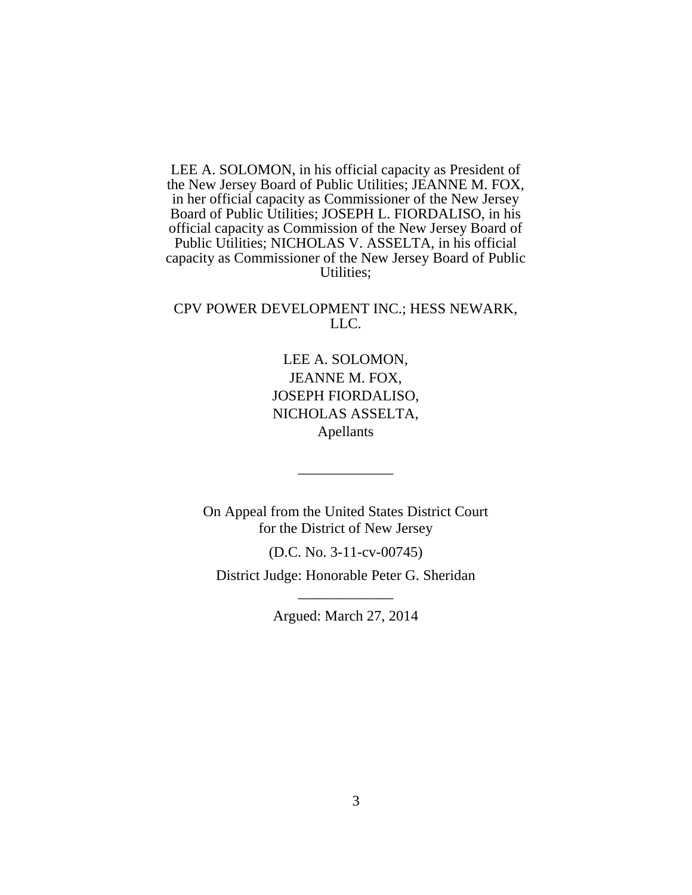LEE A. SOLOMON, in his official capacity as President of the New Jersey Board of Public Utilities; JEANNE M. FOX, in her official capacity as Commissioner of the New Jersey Board of Public Utilities; JOSEPH L. FIORDALISO, in his official capacity as Commission of the New Jersey Board of Public Utilities; NICHOLAS V. ASSELTA, in his official capacity as Commissioner of the New Jersey Board of Public Utilities;

CPV POWER DEVELOPMENT INC.; HESS NEWARK, LLC.

# LEE A. SOLOMON, JEANNE M. FOX, JOSEPH FIORDALISO, NICHOLAS ASSELTA, Apellants

On Appeal from the United States District Court for the District of New Jersey

\_\_\_\_\_\_\_\_\_\_\_\_\_

(D.C. No. 3-11-cv-00745)

District Judge: Honorable Peter G. Sheridan \_\_\_\_\_\_\_\_\_\_\_\_\_

Argued: March 27, 2014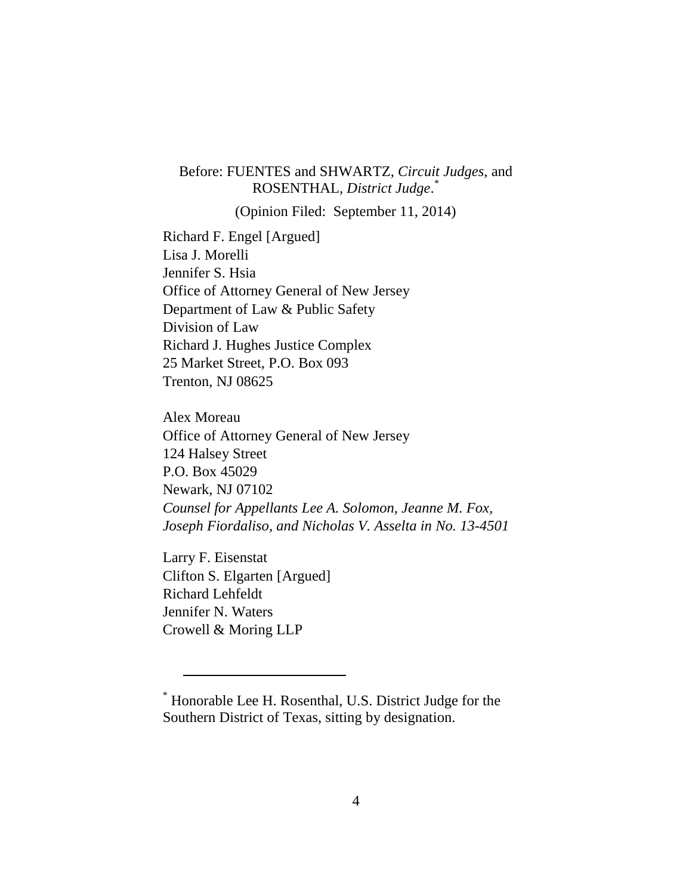# Before: FUENTES and SHWARTZ, *Circuit Judges*, and ROSENTHAL, *District Judge*. \*

(Opinion Filed: September 11, 2014)

Richard F. Engel [Argued] Lisa J. Morelli Jennifer S. Hsia Office of Attorney General of New Jersey Department of Law & Public Safety Division of Law Richard J. Hughes Justice Complex 25 Market Street, P.O. Box 093 Trenton, NJ 08625

Alex Moreau Office of Attorney General of New Jersey 124 Halsey Street P.O. Box 45029 Newark, NJ 07102 *Counsel for Appellants Lee A. Solomon, Jeanne M. Fox, Joseph Fiordaliso, and Nicholas V. Asselta in No. 13-4501*

Larry F. Eisenstat Clifton S. Elgarten [Argued] Richard Lehfeldt Jennifer N. Waters Crowell & Moring LLP

 $\overline{a}$ 

<sup>\*</sup> Honorable Lee H. Rosenthal, U.S. District Judge for the Southern District of Texas, sitting by designation.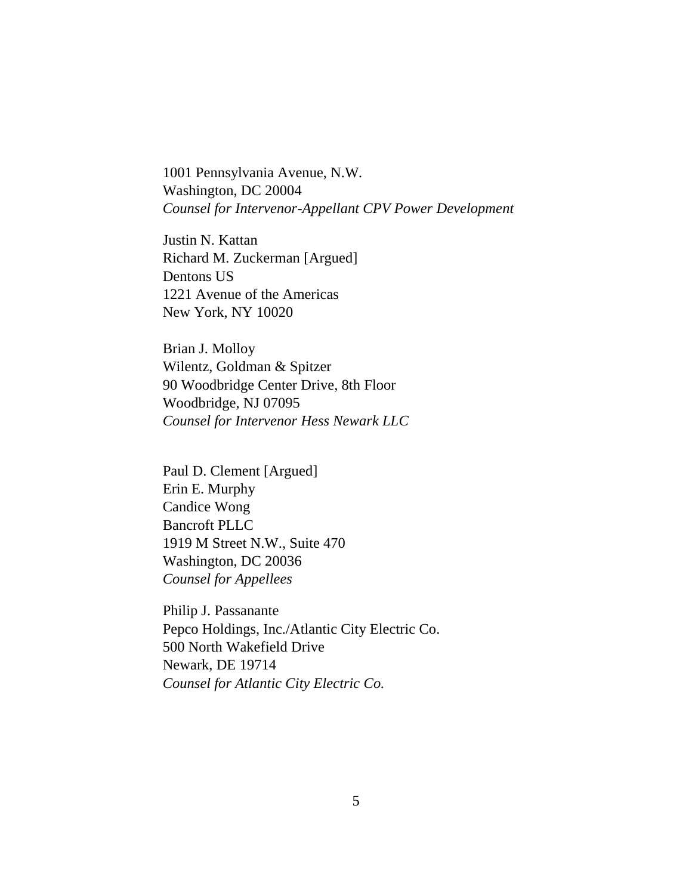1001 Pennsylvania Avenue, N.W. Washington, DC 20004 *Counsel for Intervenor-Appellant CPV Power Development*

Justin N. Kattan Richard M. Zuckerman [Argued] Dentons US 1221 Avenue of the Americas New York, NY 10020

Brian J. Molloy Wilentz, Goldman & Spitzer 90 Woodbridge Center Drive, 8th Floor Woodbridge, NJ 07095 *Counsel for Intervenor Hess Newark LLC*

Paul D. Clement [Argued] Erin E. Murphy Candice Wong Bancroft PLLC 1919 M Street N.W., Suite 470 Washington, DC 20036 *Counsel for Appellees*

Philip J. Passanante Pepco Holdings, Inc./Atlantic City Electric Co. 500 North Wakefield Drive Newark, DE 19714 *Counsel for Atlantic City Electric Co.*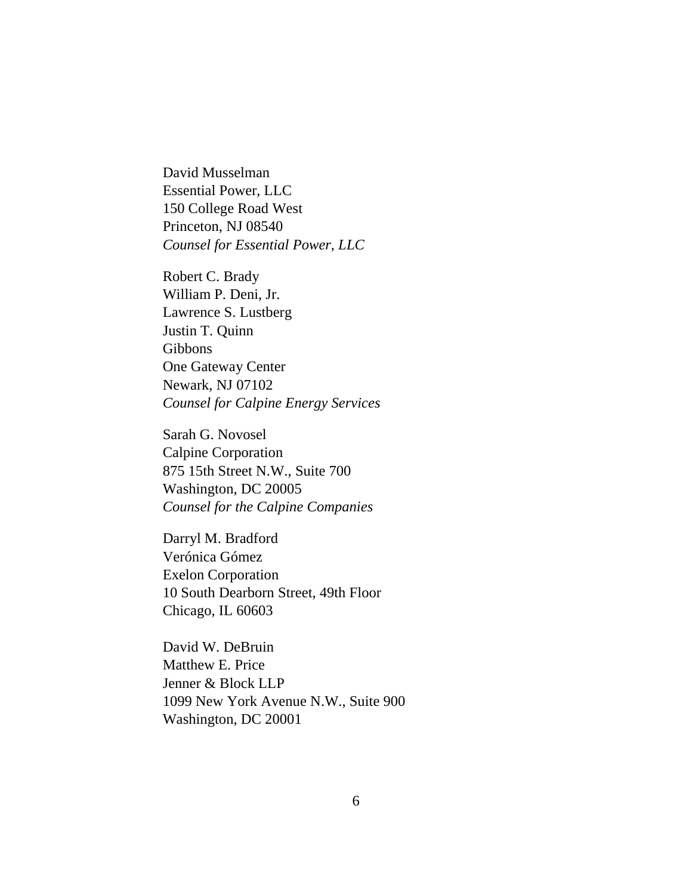David Musselman Essential Power, LLC 150 College Road West Princeton, NJ 08540 *Counsel for Essential Power, LLC*

Robert C. Brady William P. Deni, Jr. Lawrence S. Lustberg Justin T. Quinn Gibbons One Gateway Center Newark, NJ 07102 *Counsel for Calpine Energy Services*

Sarah G. Novosel Calpine Corporation 875 15th Street N.W., Suite 700 Washington, DC 20005 *Counsel for the Calpine Companies*

Darryl M. Bradford Verónica Gómez Exelon Corporation 10 South Dearborn Street, 49th Floor Chicago, IL 60603

David W. DeBruin Matthew E. Price Jenner & Block LLP 1099 New York Avenue N.W., Suite 900 Washington, DC 20001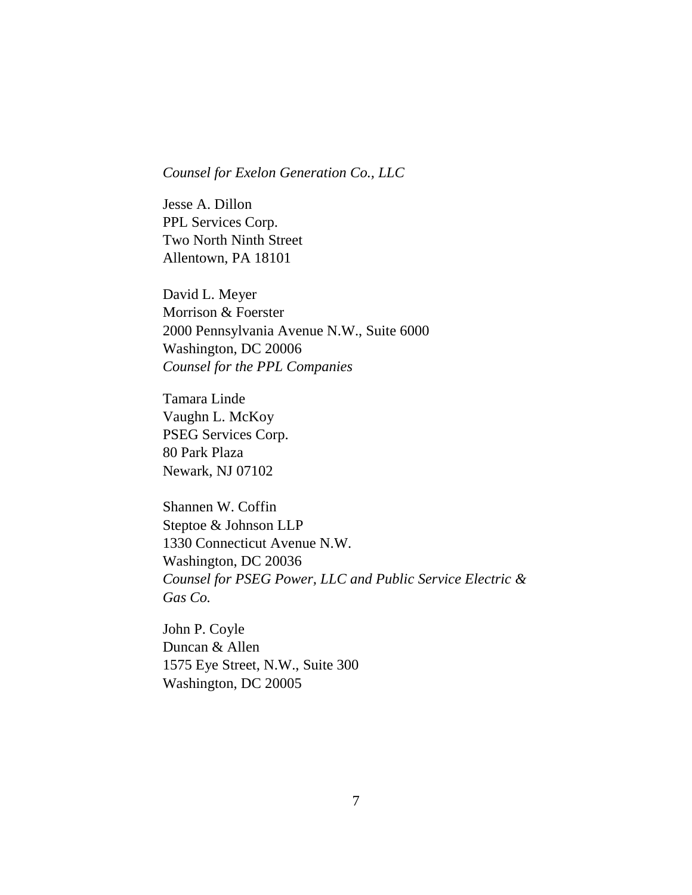#### *Counsel for Exelon Generation Co., LLC*

Jesse A. Dillon PPL Services Corp. Two North Ninth Street Allentown, PA 18101

David L. Meyer Morrison & Foerster 2000 Pennsylvania Avenue N.W., Suite 6000 Washington, DC 20006 *Counsel for the PPL Companies*

Tamara Linde Vaughn L. McKoy PSEG Services Corp. 80 Park Plaza Newark, NJ 07102

Shannen W. Coffin Steptoe & Johnson LLP 1330 Connecticut Avenue N.W. Washington, DC 20036 *Counsel for PSEG Power, LLC and Public Service Electric & Gas Co.*

John P. Coyle Duncan & Allen 1575 Eye Street, N.W., Suite 300 Washington, DC 20005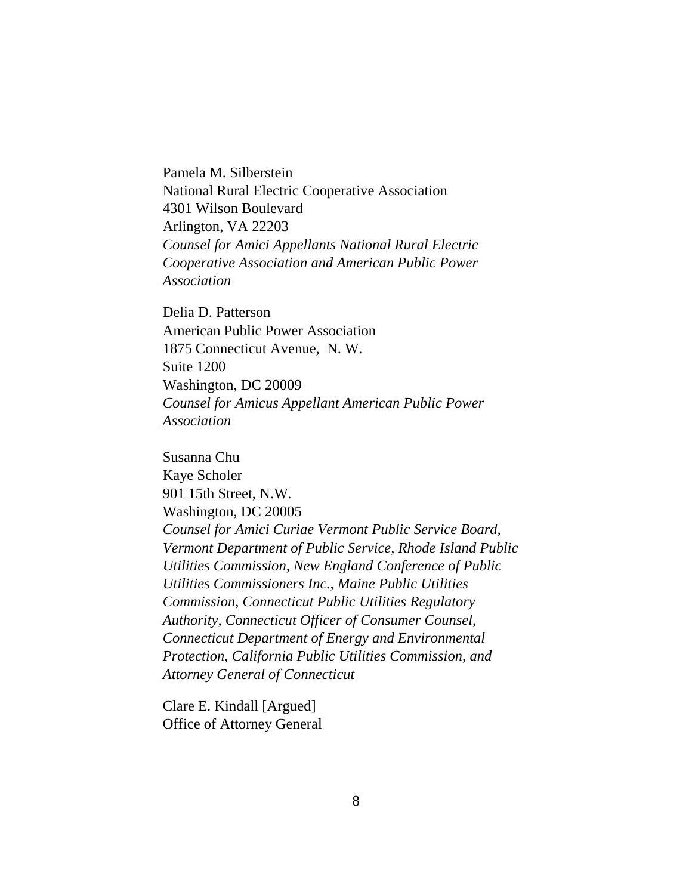Pamela M. Silberstein National Rural Electric Cooperative Association 4301 Wilson Boulevard Arlington, VA 22203 *Counsel for Amici Appellants National Rural Electric Cooperative Association and American Public Power Association*

Delia D. Patterson American Public Power Association 1875 Connecticut Avenue, N. W. Suite 1200 Washington, DC 20009 *Counsel for Amicus Appellant American Public Power Association*

Susanna Chu Kaye Scholer 901 15th Street, N.W. Washington, DC 20005 *Counsel for Amici Curiae Vermont Public Service Board, Vermont Department of Public Service, Rhode Island Public Utilities Commission, New England Conference of Public Utilities Commissioners Inc., Maine Public Utilities Commission, Connecticut Public Utilities Regulatory Authority, Connecticut Officer of Consumer Counsel, Connecticut Department of Energy and Environmental Protection, California Public Utilities Commission, and Attorney General of Connecticut*

Clare E. Kindall [Argued] Office of Attorney General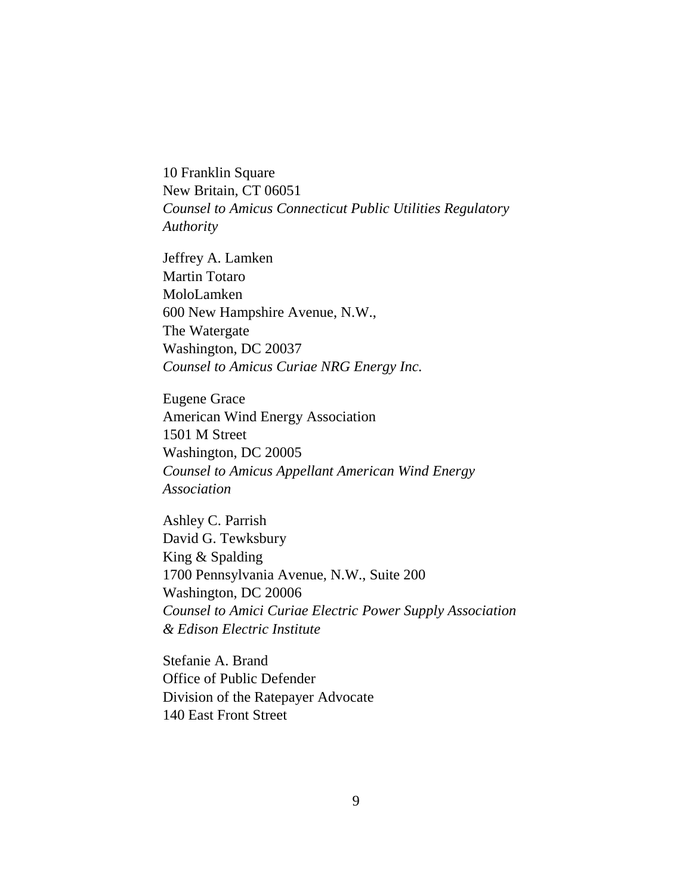10 Franklin Square New Britain, CT 06051 *Counsel to Amicus Connecticut Public Utilities Regulatory Authority*

Jeffrey A. Lamken Martin Totaro MoloLamken 600 New Hampshire Avenue, N.W., The Watergate Washington, DC 20037 *Counsel to Amicus Curiae NRG Energy Inc.*

Eugene Grace American Wind Energy Association 1501 M Street Washington, DC 20005 *Counsel to Amicus Appellant American Wind Energy Association*

Ashley C. Parrish David G. Tewksbury King & Spalding 1700 Pennsylvania Avenue, N.W., Suite 200 Washington, DC 20006 *Counsel to Amici Curiae Electric Power Supply Association & Edison Electric Institute*

Stefanie A. Brand Office of Public Defender Division of the Ratepayer Advocate 140 East Front Street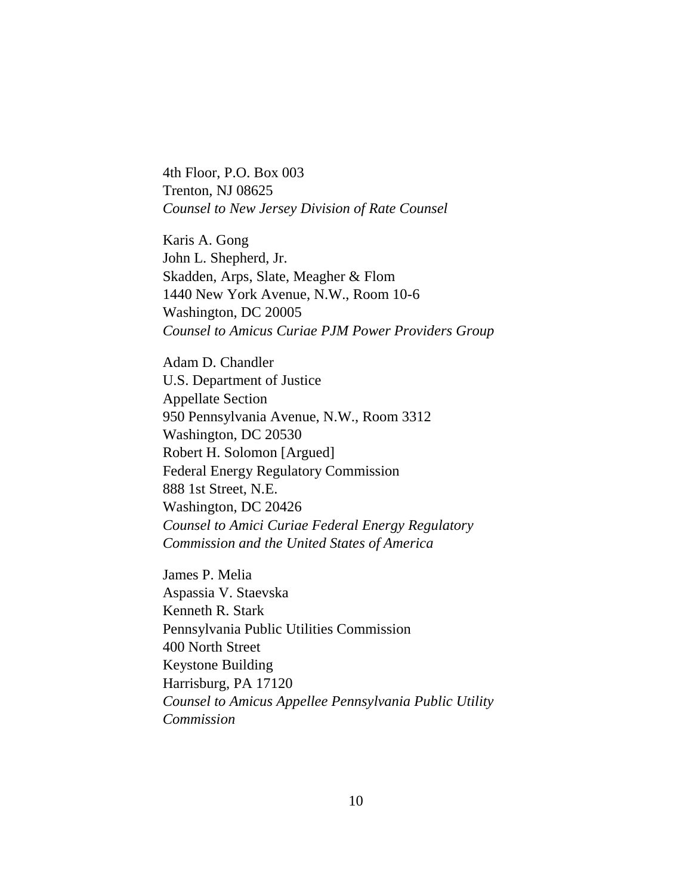4th Floor, P.O. Box 003 Trenton, NJ 08625 *Counsel to New Jersey Division of Rate Counsel*

Karis A. Gong John L. Shepherd, Jr. Skadden, Arps, Slate, Meagher & Flom 1440 New York Avenue, N.W., Room 10-6 Washington, DC 20005 *Counsel to Amicus Curiae PJM Power Providers Group*

Adam D. Chandler U.S. Department of Justice Appellate Section 950 Pennsylvania Avenue, N.W., Room 3312 Washington, DC 20530 Robert H. Solomon [Argued] Federal Energy Regulatory Commission 888 1st Street, N.E. Washington, DC 20426 *Counsel to Amici Curiae Federal Energy Regulatory Commission and the United States of America*

James P. Melia Aspassia V. Staevska Kenneth R. Stark Pennsylvania Public Utilities Commission 400 North Street Keystone Building Harrisburg, PA 17120 *Counsel to Amicus Appellee Pennsylvania Public Utility Commission*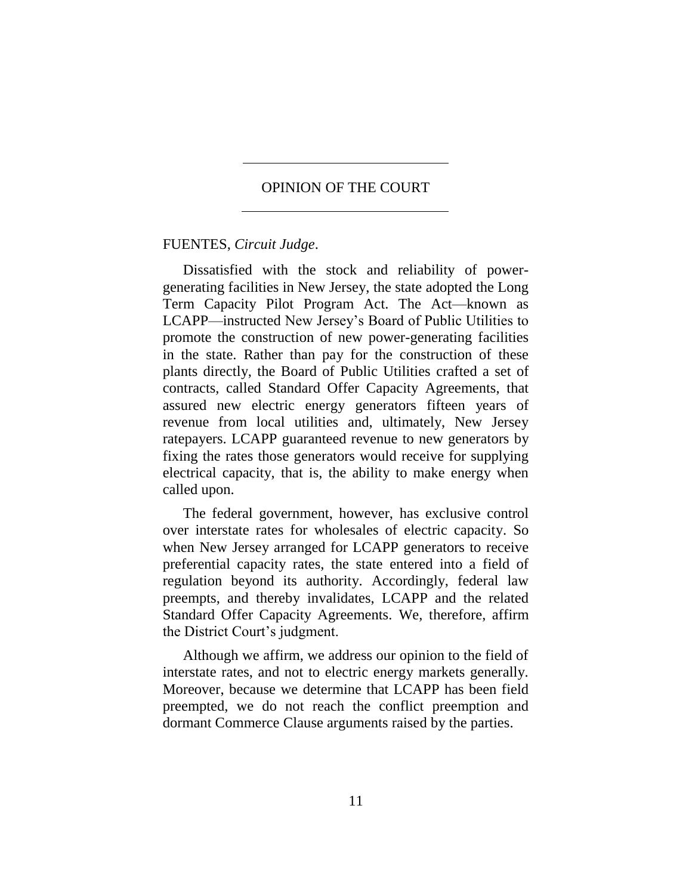### OPINION OF THE COURT

#### FUENTES, *Circuit Judge*.

Dissatisfied with the stock and reliability of powergenerating facilities in New Jersey, the state adopted the Long Term Capacity Pilot Program Act. The Act—known as LCAPP—instructed New Jersey's Board of Public Utilities to promote the construction of new power-generating facilities in the state. Rather than pay for the construction of these plants directly, the Board of Public Utilities crafted a set of contracts, called Standard Offer Capacity Agreements, that assured new electric energy generators fifteen years of revenue from local utilities and, ultimately, New Jersey ratepayers. LCAPP guaranteed revenue to new generators by fixing the rates those generators would receive for supplying electrical capacity, that is, the ability to make energy when called upon.

The federal government, however, has exclusive control over interstate rates for wholesales of electric capacity. So when New Jersey arranged for LCAPP generators to receive preferential capacity rates, the state entered into a field of regulation beyond its authority. Accordingly, federal law preempts, and thereby invalidates, LCAPP and the related Standard Offer Capacity Agreements. We, therefore, affirm the District Court's judgment.

Although we affirm, we address our opinion to the field of interstate rates, and not to electric energy markets generally. Moreover, because we determine that LCAPP has been field preempted, we do not reach the conflict preemption and dormant Commerce Clause arguments raised by the parties.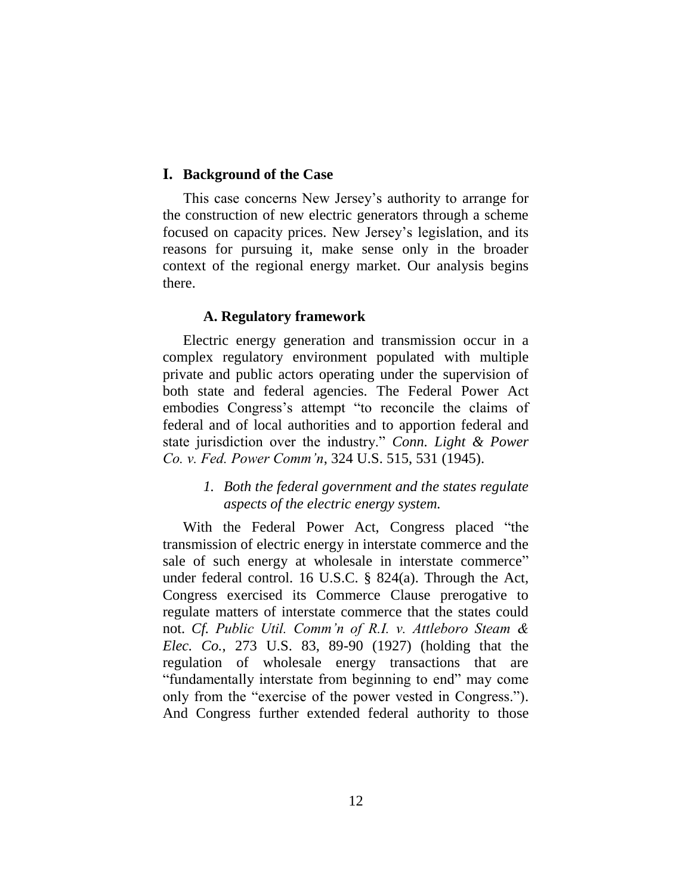#### **I. Background of the Case**

This case concerns New Jersey's authority to arrange for the construction of new electric generators through a scheme focused on capacity prices. New Jersey's legislation, and its reasons for pursuing it, make sense only in the broader context of the regional energy market. Our analysis begins there.

#### **A. Regulatory framework**

Electric energy generation and transmission occur in a complex regulatory environment populated with multiple private and public actors operating under the supervision of both state and federal agencies. The Federal Power Act embodies Congress's attempt "to reconcile the claims of federal and of local authorities and to apportion federal and state jurisdiction over the industry." *Conn. Light & Power Co. v. Fed. Power Comm'n*, 324 U.S. 515, 531 (1945).

# *1. Both the federal government and the states regulate aspects of the electric energy system.*

With the Federal Power Act, Congress placed "the transmission of electric energy in interstate commerce and the sale of such energy at wholesale in interstate commerce" under federal control. 16 U.S.C. § 824(a). Through the Act, Congress exercised its Commerce Clause prerogative to regulate matters of interstate commerce that the states could not. *Cf. Public Util. Comm'n of R.I. v. Attleboro Steam & Elec. Co.*, 273 U.S. 83, 89-90 (1927) (holding that the regulation of wholesale energy transactions that are "fundamentally interstate from beginning to end" may come only from the "exercise of the power vested in Congress."). And Congress further extended federal authority to those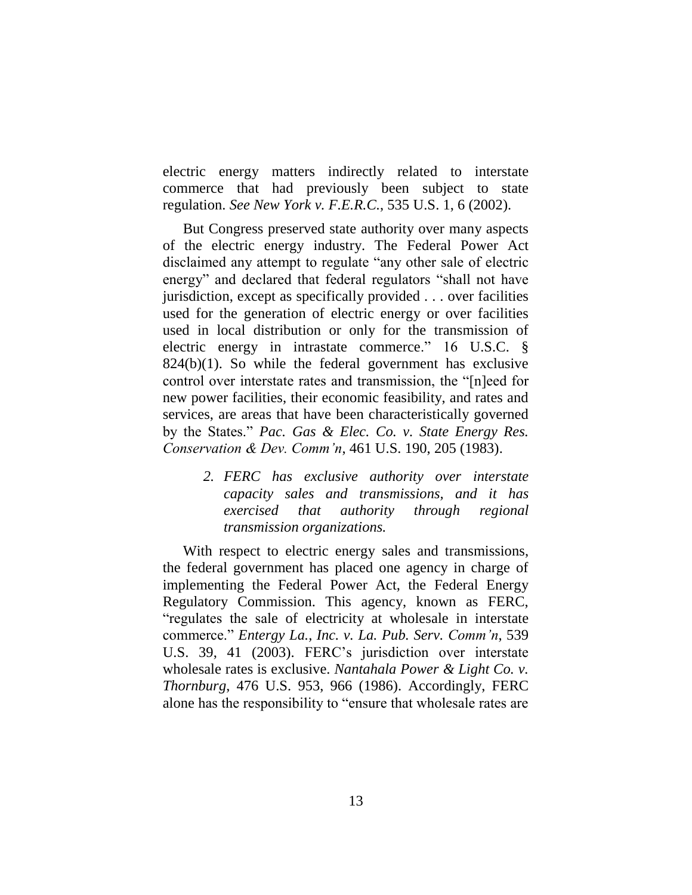electric energy matters indirectly related to interstate commerce that had previously been subject to state regulation. *See New York v. F.E.R.C.*, 535 U.S. 1, 6 (2002).

But Congress preserved state authority over many aspects of the electric energy industry. The Federal Power Act disclaimed any attempt to regulate "any other sale of electric energy" and declared that federal regulators "shall not have jurisdiction, except as specifically provided . . . over facilities used for the generation of electric energy or over facilities used in local distribution or only for the transmission of electric energy in intrastate commerce." 16 U.S.C. §  $824(b)(1)$ . So while the federal government has exclusive control over interstate rates and transmission, the "[n]eed for new power facilities, their economic feasibility, and rates and services, are areas that have been characteristically governed by the States." *Pac. Gas & Elec. Co. v. State Energy Res. Conservation & Dev. Comm'n*, 461 U.S. 190, 205 (1983).

> *2. FERC has exclusive authority over interstate capacity sales and transmissions, and it has exercised that authority through regional transmission organizations.*

With respect to electric energy sales and transmissions, the federal government has placed one agency in charge of implementing the Federal Power Act, the Federal Energy Regulatory Commission. This agency, known as FERC, "regulates the sale of electricity at wholesale in interstate commerce." *Entergy La., Inc. v. La. Pub. Serv. Comm'n*, 539 U.S. 39, 41 (2003). FERC's jurisdiction over interstate wholesale rates is exclusive. *Nantahala Power & Light Co. v. Thornburg*, 476 U.S. 953, 966 (1986). Accordingly, FERC alone has the responsibility to "ensure that wholesale rates are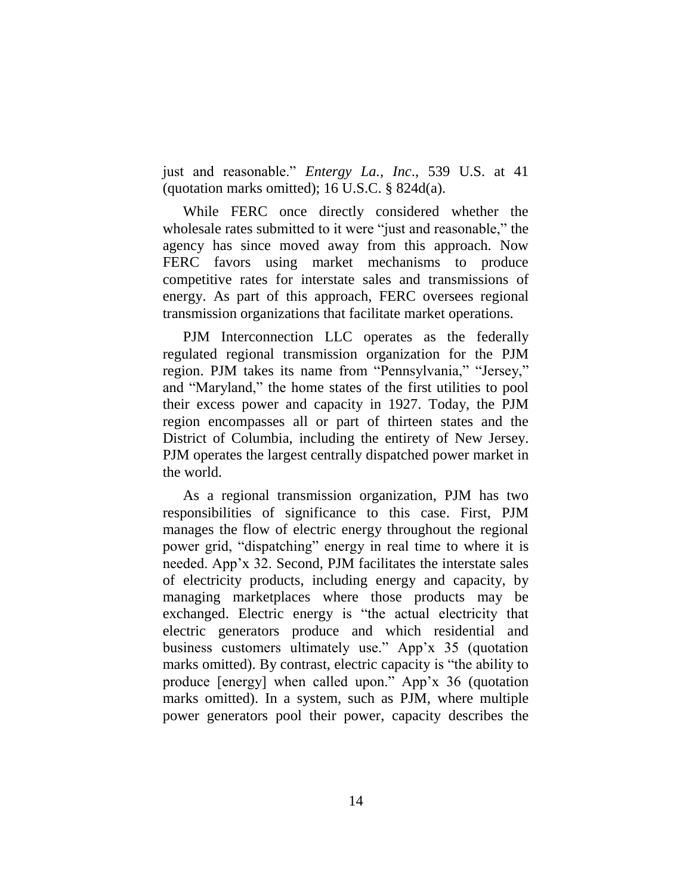just and reasonable." *Entergy La., Inc*., 539 U.S. at 41 (quotation marks omitted); 16 U.S.C. § 824d(a).

While FERC once directly considered whether the wholesale rates submitted to it were "just and reasonable," the agency has since moved away from this approach. Now FERC favors using market mechanisms to produce competitive rates for interstate sales and transmissions of energy. As part of this approach, FERC oversees regional transmission organizations that facilitate market operations.

PJM Interconnection LLC operates as the federally regulated regional transmission organization for the PJM region. PJM takes its name from "Pennsylvania," "Jersey," and "Maryland," the home states of the first utilities to pool their excess power and capacity in 1927. Today, the PJM region encompasses all or part of thirteen states and the District of Columbia, including the entirety of New Jersey. PJM operates the largest centrally dispatched power market in the world.

As a regional transmission organization, PJM has two responsibilities of significance to this case. First, PJM manages the flow of electric energy throughout the regional power grid, "dispatching" energy in real time to where it is needed. App'x 32. Second, PJM facilitates the interstate sales of electricity products, including energy and capacity, by managing marketplaces where those products may be exchanged. Electric energy is "the actual electricity that electric generators produce and which residential and business customers ultimately use." App'x 35 (quotation marks omitted). By contrast, electric capacity is "the ability to produce [energy] when called upon." App'x 36 (quotation marks omitted). In a system, such as PJM, where multiple power generators pool their power, capacity describes the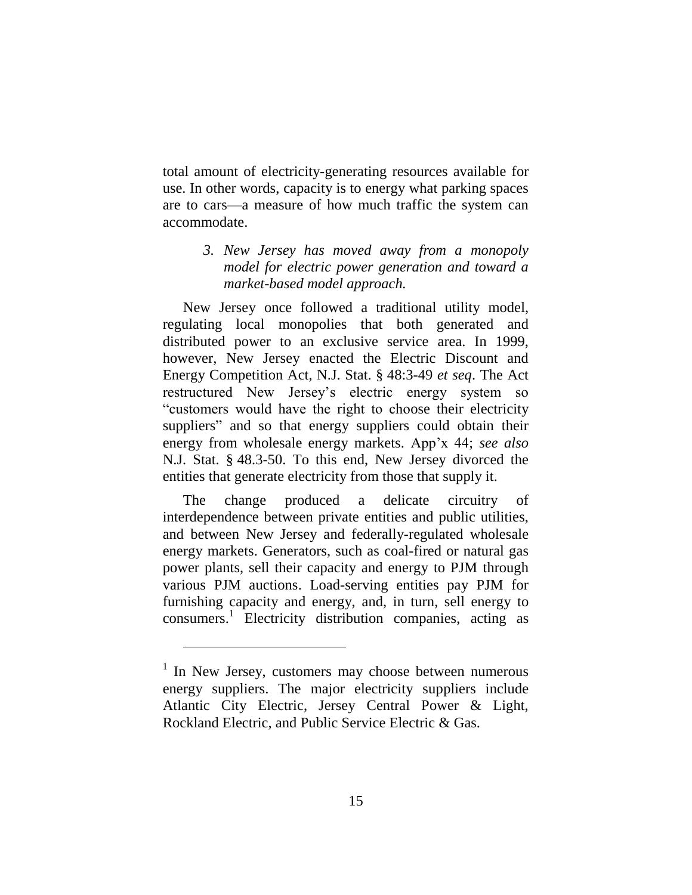total amount of electricity-generating resources available for use. In other words, capacity is to energy what parking spaces are to cars—a measure of how much traffic the system can accommodate.

# *3. New Jersey has moved away from a monopoly model for electric power generation and toward a market-based model approach.*

New Jersey once followed a traditional utility model, regulating local monopolies that both generated and distributed power to an exclusive service area. In 1999, however, New Jersey enacted the Electric Discount and Energy Competition Act, N.J. Stat. § 48:3-49 *et seq*. The Act restructured New Jersey's electric energy system so "customers would have the right to choose their electricity suppliers" and so that energy suppliers could obtain their energy from wholesale energy markets. App'x 44; *see also*  N.J. Stat. § 48.3-50. To this end, New Jersey divorced the entities that generate electricity from those that supply it.

The change produced a delicate circuitry of interdependence between private entities and public utilities, and between New Jersey and federally-regulated wholesale energy markets. Generators, such as coal-fired or natural gas power plants, sell their capacity and energy to PJM through various PJM auctions. Load-serving entities pay PJM for furnishing capacity and energy, and, in turn, sell energy to consumers. 1 Electricity distribution companies, acting as

<sup>&</sup>lt;sup>1</sup> In New Jersey, customers may choose between numerous energy suppliers. The major electricity suppliers include Atlantic City Electric, Jersey Central Power & Light, Rockland Electric, and Public Service Electric & Gas.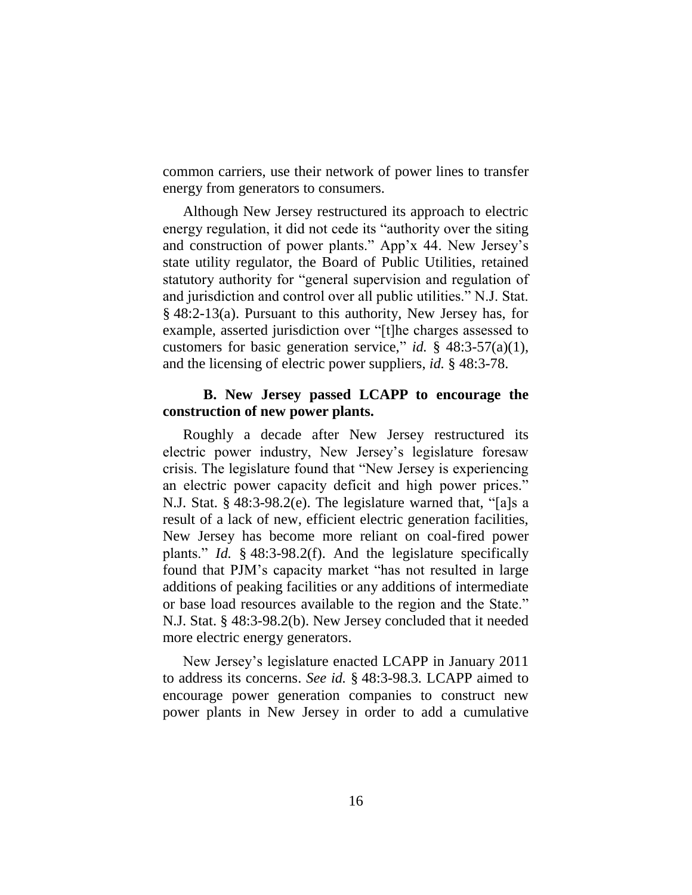common carriers, use their network of power lines to transfer energy from generators to consumers.

Although New Jersey restructured its approach to electric energy regulation, it did not cede its "authority over the siting and construction of power plants." App'x 44. New Jersey's state utility regulator, the Board of Public Utilities, retained statutory authority for "general supervision and regulation of and jurisdiction and control over all public utilities." N.J. Stat. § 48:2-13(a). Pursuant to this authority, New Jersey has, for example, asserted jurisdiction over "[t]he charges assessed to customers for basic generation service," *id.* § 48:3-57(a)(1), and the licensing of electric power suppliers, *id.* § 48:3-78.

### **B. New Jersey passed LCAPP to encourage the construction of new power plants.**

Roughly a decade after New Jersey restructured its electric power industry, New Jersey's legislature foresaw crisis. The legislature found that "New Jersey is experiencing an electric power capacity deficit and high power prices." N.J. Stat. § 48:3-98.2(e). The legislature warned that, "[a]s a result of a lack of new, efficient electric generation facilities, New Jersey has become more reliant on coal-fired power plants." *Id.* § 48:3-98.2(f). And the legislature specifically found that PJM's capacity market "has not resulted in large additions of peaking facilities or any additions of intermediate or base load resources available to the region and the State." N.J. Stat. § 48:3-98.2(b). New Jersey concluded that it needed more electric energy generators.

New Jersey's legislature enacted LCAPP in January 2011 to address its concerns. *See id.* § 48:3-98.3*.* LCAPP aimed to encourage power generation companies to construct new power plants in New Jersey in order to add a cumulative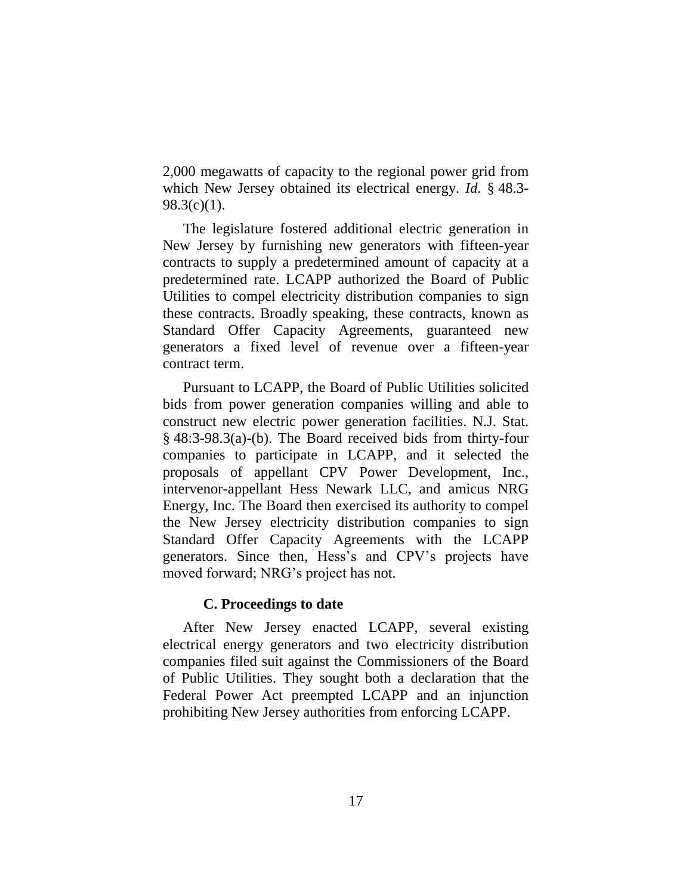2,000 megawatts of capacity to the regional power grid from which New Jersey obtained its electrical energy. *Id.* § 48.3-  $98.3(c)(1)$ .

The legislature fostered additional electric generation in New Jersey by furnishing new generators with fifteen-year contracts to supply a predetermined amount of capacity at a predetermined rate. LCAPP authorized the Board of Public Utilities to compel electricity distribution companies to sign these contracts. Broadly speaking, these contracts, known as Standard Offer Capacity Agreements, guaranteed new generators a fixed level of revenue over a fifteen-year contract term.

Pursuant to LCAPP, the Board of Public Utilities solicited bids from power generation companies willing and able to construct new electric power generation facilities. N.J. Stat. § 48:3-98.3(a)-(b). The Board received bids from thirty-four companies to participate in LCAPP, and it selected the proposals of appellant CPV Power Development, Inc., intervenor-appellant Hess Newark LLC, and amicus NRG Energy, Inc. The Board then exercised its authority to compel the New Jersey electricity distribution companies to sign Standard Offer Capacity Agreements with the LCAPP generators. Since then, Hess's and CPV's projects have moved forward; NRG's project has not.

#### **C. Proceedings to date**

After New Jersey enacted LCAPP, several existing electrical energy generators and two electricity distribution companies filed suit against the Commissioners of the Board of Public Utilities. They sought both a declaration that the Federal Power Act preempted LCAPP and an injunction prohibiting New Jersey authorities from enforcing LCAPP.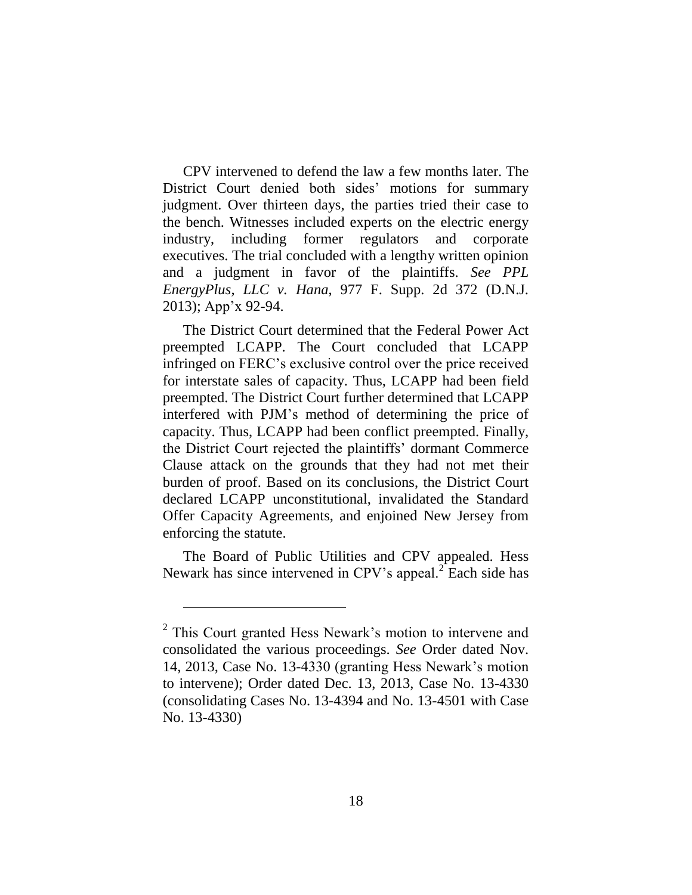CPV intervened to defend the law a few months later. The District Court denied both sides' motions for summary judgment. Over thirteen days, the parties tried their case to the bench. Witnesses included experts on the electric energy industry, including former regulators and corporate executives. The trial concluded with a lengthy written opinion and a judgment in favor of the plaintiffs. *See PPL EnergyPlus, LLC v. Hana*, 977 F. Supp. 2d 372 (D.N.J. 2013); App'x 92-94.

The District Court determined that the Federal Power Act preempted LCAPP. The Court concluded that LCAPP infringed on FERC's exclusive control over the price received for interstate sales of capacity. Thus, LCAPP had been field preempted. The District Court further determined that LCAPP interfered with PJM's method of determining the price of capacity. Thus, LCAPP had been conflict preempted. Finally, the District Court rejected the plaintiffs' dormant Commerce Clause attack on the grounds that they had not met their burden of proof. Based on its conclusions, the District Court declared LCAPP unconstitutional, invalidated the Standard Offer Capacity Agreements, and enjoined New Jersey from enforcing the statute.

The Board of Public Utilities and CPV appealed. Hess Newark has since intervened in CPV's appeal. $2 \text{ Each}$  side has

 $\overline{a}$ 

<sup>&</sup>lt;sup>2</sup> This Court granted Hess Newark's motion to intervene and consolidated the various proceedings. *See* Order dated Nov. 14, 2013, Case No. 13-4330 (granting Hess Newark's motion to intervene); Order dated Dec. 13, 2013, Case No. 13-4330 (consolidating Cases No. 13-4394 and No. 13-4501 with Case No. 13-4330)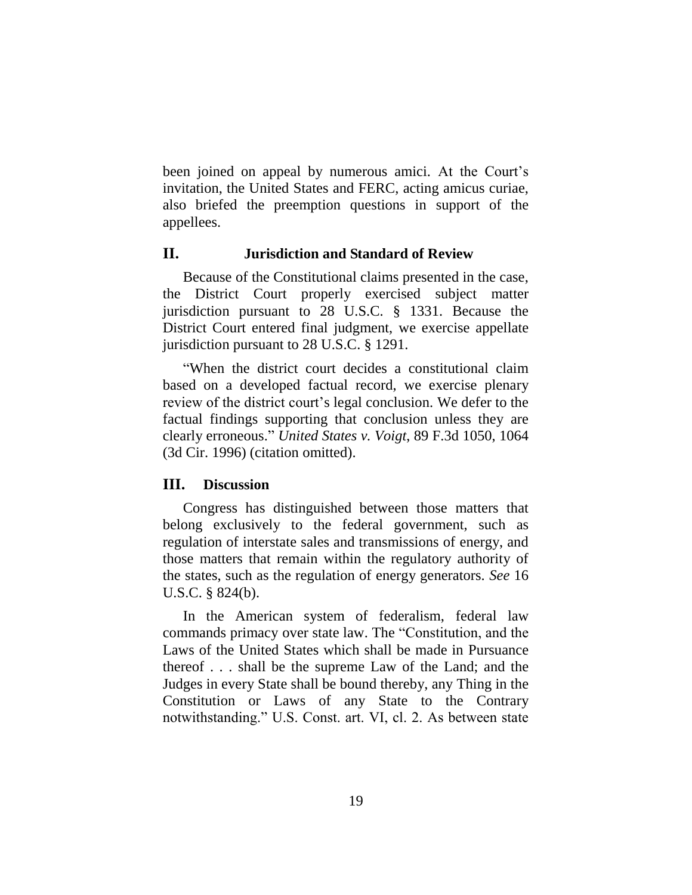been joined on appeal by numerous amici. At the Court's invitation, the United States and FERC, acting amicus curiae, also briefed the preemption questions in support of the appellees.

### **II. Jurisdiction and Standard of Review**

Because of the Constitutional claims presented in the case, the District Court properly exercised subject matter jurisdiction pursuant to 28 U.S.C. § 1331. Because the District Court entered final judgment, we exercise appellate jurisdiction pursuant to 28 U.S.C. § 1291.

"When the district court decides a constitutional claim based on a developed factual record, we exercise plenary review of the district court's legal conclusion. We defer to the factual findings supporting that conclusion unless they are clearly erroneous." *United States v. Voigt*, 89 F.3d 1050, 1064 (3d Cir. 1996) (citation omitted).

# **III. Discussion**

Congress has distinguished between those matters that belong exclusively to the federal government, such as regulation of interstate sales and transmissions of energy, and those matters that remain within the regulatory authority of the states, such as the regulation of energy generators. *See* 16 U.S.C. § 824(b).

In the American system of federalism, federal law commands primacy over state law. The "Constitution, and the Laws of the United States which shall be made in Pursuance thereof . . . shall be the supreme Law of the Land; and the Judges in every State shall be bound thereby, any Thing in the Constitution or Laws of any State to the Contrary notwithstanding." U.S. Const. art. VI, cl. 2. As between state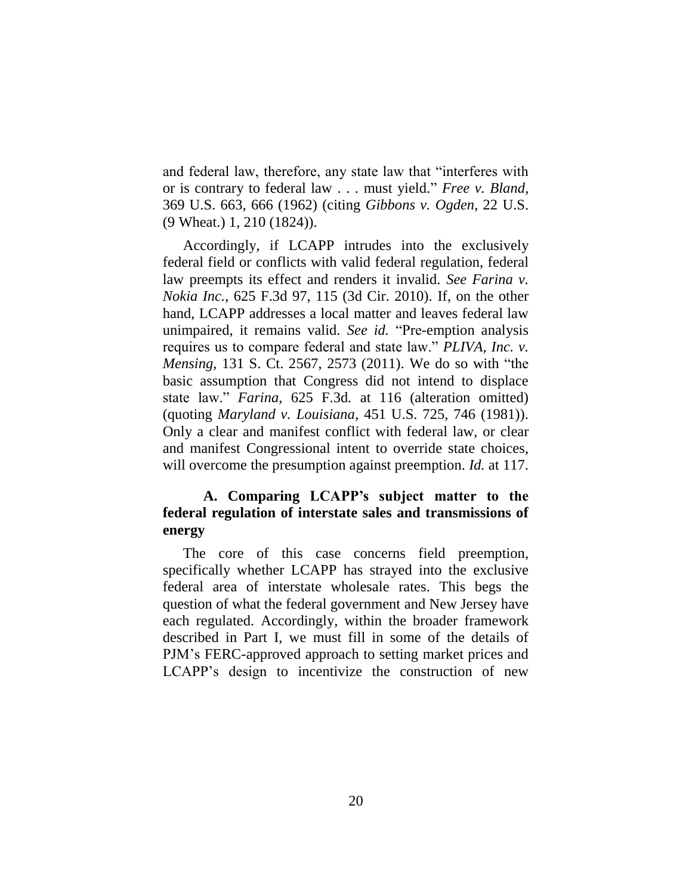and federal law, therefore, any state law that "interferes with or is contrary to federal law . . . must yield." *Free v. Bland*, 369 U.S. 663, 666 (1962) (citing *Gibbons v. Ogden*, 22 U.S. (9 Wheat.) 1, 210 (1824)).

Accordingly, if LCAPP intrudes into the exclusively federal field or conflicts with valid federal regulation, federal law preempts its effect and renders it invalid. *See Farina v. Nokia Inc.*, 625 F.3d 97, 115 (3d Cir. 2010). If, on the other hand, LCAPP addresses a local matter and leaves federal law unimpaired, it remains valid. *See id.* "Pre-emption analysis requires us to compare federal and state law." *PLIVA, Inc. v. Mensing*, 131 S. Ct. 2567, 2573 (2011). We do so with "the basic assumption that Congress did not intend to displace state law." *Farina*, 625 F.3d*.* at 116 (alteration omitted) (quoting *Maryland v. Louisiana*, 451 U.S. 725, 746 (1981)). Only a clear and manifest conflict with federal law, or clear and manifest Congressional intent to override state choices, will overcome the presumption against preemption. *Id.* at 117.

# **A. Comparing LCAPP's subject matter to the federal regulation of interstate sales and transmissions of energy**

The core of this case concerns field preemption, specifically whether LCAPP has strayed into the exclusive federal area of interstate wholesale rates. This begs the question of what the federal government and New Jersey have each regulated. Accordingly, within the broader framework described in Part I, we must fill in some of the details of PJM's FERC-approved approach to setting market prices and LCAPP's design to incentivize the construction of new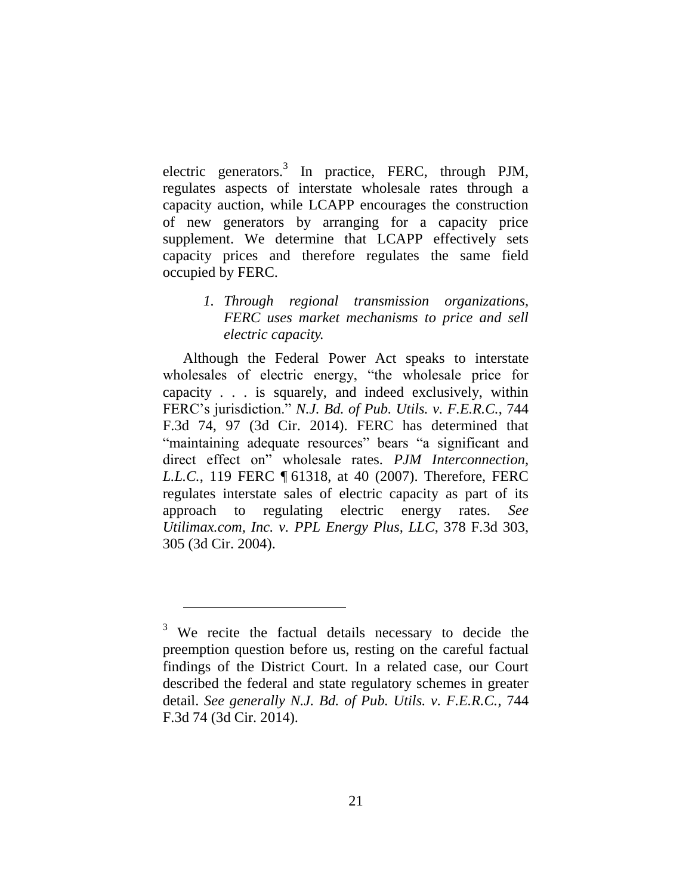electric generators.<sup>3</sup> In practice, FERC, through PJM, regulates aspects of interstate wholesale rates through a capacity auction, while LCAPP encourages the construction of new generators by arranging for a capacity price supplement. We determine that LCAPP effectively sets capacity prices and therefore regulates the same field occupied by FERC.

# *1. Through regional transmission organizations, FERC uses market mechanisms to price and sell electric capacity.*

Although the Federal Power Act speaks to interstate wholesales of electric energy, "the wholesale price for capacity . . . is squarely, and indeed exclusively, within FERC's jurisdiction." *N.J. Bd. of Pub. Utils. v. F.E.R.C.*, 744 F.3d 74, 97 (3d Cir. 2014). FERC has determined that "maintaining adequate resources" bears "a significant and direct effect on" wholesale rates. *PJM Interconnection, L.L.C.*, 119 FERC ¶ 61318, at 40 (2007). Therefore, FERC regulates interstate sales of electric capacity as part of its approach to regulating electric energy rates. *See Utilimax.com, Inc. v. PPL Energy Plus, LLC*, 378 F.3d 303, 305 (3d Cir. 2004).

 $\overline{a}$ 

<sup>&</sup>lt;sup>3</sup> We recite the factual details necessary to decide the preemption question before us, resting on the careful factual findings of the District Court. In a related case, our Court described the federal and state regulatory schemes in greater detail. *See generally N.J. Bd. of Pub. Utils. v. F.E.R.C.*, 744 F.3d 74 (3d Cir. 2014).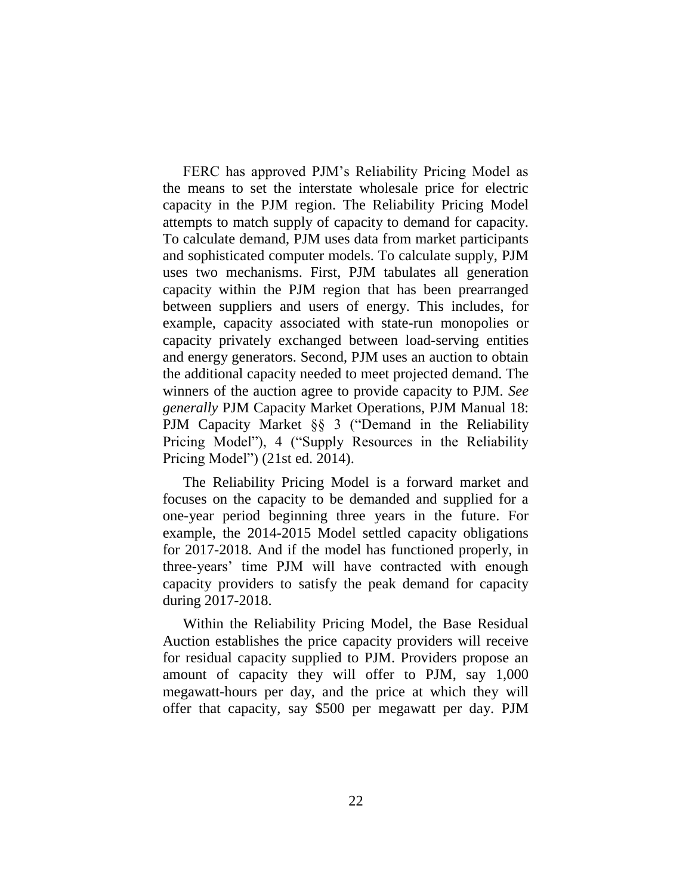FERC has approved PJM's Reliability Pricing Model as the means to set the interstate wholesale price for electric capacity in the PJM region. The Reliability Pricing Model attempts to match supply of capacity to demand for capacity. To calculate demand, PJM uses data from market participants and sophisticated computer models. To calculate supply, PJM uses two mechanisms. First, PJM tabulates all generation capacity within the PJM region that has been prearranged between suppliers and users of energy. This includes, for example, capacity associated with state-run monopolies or capacity privately exchanged between load-serving entities and energy generators. Second, PJM uses an auction to obtain the additional capacity needed to meet projected demand. The winners of the auction agree to provide capacity to PJM. *See generally* PJM Capacity Market Operations, PJM Manual 18: PJM Capacity Market §§ 3 ("Demand in the Reliability Pricing Model"), 4 ("Supply Resources in the Reliability Pricing Model") (21st ed. 2014).

The Reliability Pricing Model is a forward market and focuses on the capacity to be demanded and supplied for a one-year period beginning three years in the future. For example, the 2014-2015 Model settled capacity obligations for 2017-2018. And if the model has functioned properly, in three-years' time PJM will have contracted with enough capacity providers to satisfy the peak demand for capacity during 2017-2018.

Within the Reliability Pricing Model, the Base Residual Auction establishes the price capacity providers will receive for residual capacity supplied to PJM. Providers propose an amount of capacity they will offer to PJM, say 1,000 megawatt-hours per day, and the price at which they will offer that capacity, say \$500 per megawatt per day. PJM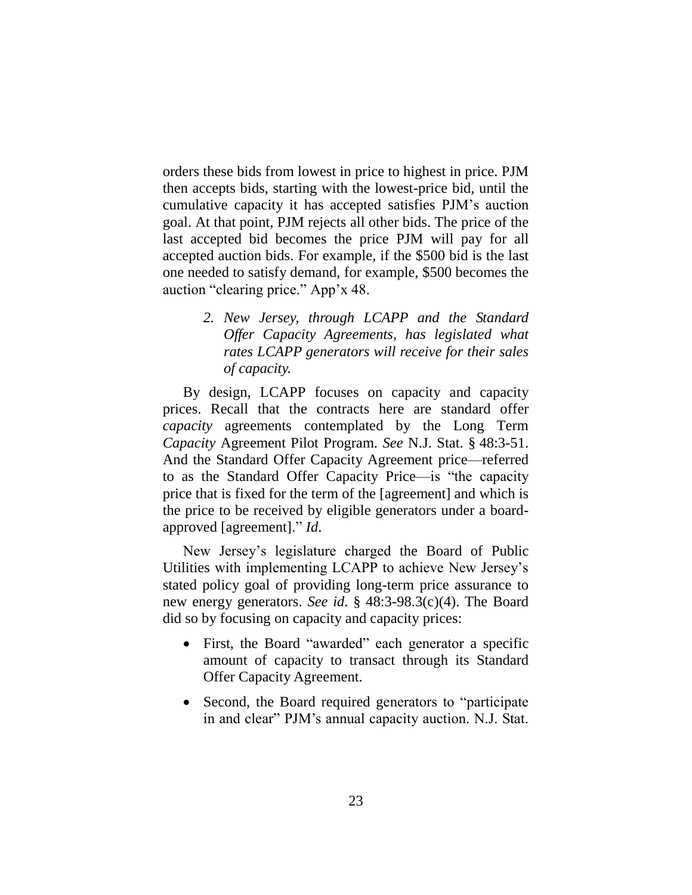orders these bids from lowest in price to highest in price. PJM then accepts bids, starting with the lowest-price bid, until the cumulative capacity it has accepted satisfies PJM's auction goal. At that point, PJM rejects all other bids. The price of the last accepted bid becomes the price PJM will pay for all accepted auction bids. For example, if the \$500 bid is the last one needed to satisfy demand, for example, \$500 becomes the auction "clearing price." App'x 48.

> *2. New Jersey, through LCAPP and the Standard Offer Capacity Agreements, has legislated what rates LCAPP generators will receive for their sales of capacity.*

By design, LCAPP focuses on capacity and capacity prices. Recall that the contracts here are standard offer *capacity* agreements contemplated by the Long Term *Capacity* Agreement Pilot Program. *See* N.J. Stat. § 48:3-51. And the Standard Offer Capacity Agreement price—referred to as the Standard Offer Capacity Price—is "the capacity price that is fixed for the term of the [agreement] and which is the price to be received by eligible generators under a boardapproved [agreement]." *Id*.

New Jersey's legislature charged the Board of Public Utilities with implementing LCAPP to achieve New Jersey's stated policy goal of providing long-term price assurance to new energy generators. *See id*. § 48:3-98.3(c)(4). The Board did so by focusing on capacity and capacity prices:

- First, the Board "awarded" each generator a specific amount of capacity to transact through its Standard Offer Capacity Agreement.
- Second, the Board required generators to "participate" in and clear" PJM's annual capacity auction. N.J. Stat.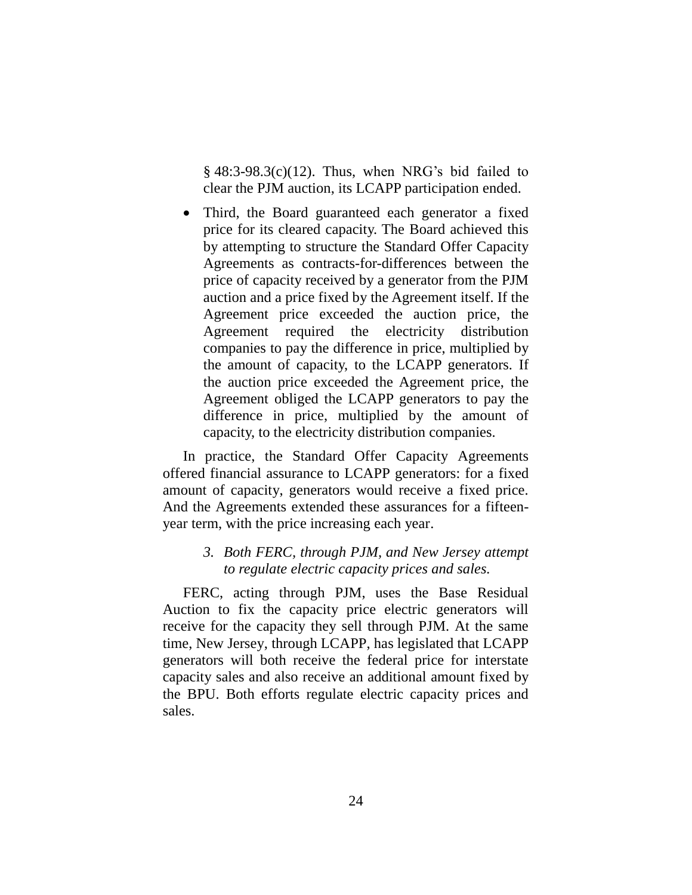$§$  48:3-98.3(c)(12). Thus, when NRG's bid failed to clear the PJM auction, its LCAPP participation ended.

 Third, the Board guaranteed each generator a fixed price for its cleared capacity. The Board achieved this by attempting to structure the Standard Offer Capacity Agreements as contracts-for-differences between the price of capacity received by a generator from the PJM auction and a price fixed by the Agreement itself. If the Agreement price exceeded the auction price, the Agreement required the electricity distribution companies to pay the difference in price, multiplied by the amount of capacity, to the LCAPP generators. If the auction price exceeded the Agreement price, the Agreement obliged the LCAPP generators to pay the difference in price, multiplied by the amount of capacity, to the electricity distribution companies.

In practice, the Standard Offer Capacity Agreements offered financial assurance to LCAPP generators: for a fixed amount of capacity, generators would receive a fixed price. And the Agreements extended these assurances for a fifteenyear term, with the price increasing each year.

### *3. Both FERC, through PJM, and New Jersey attempt to regulate electric capacity prices and sales.*

FERC, acting through PJM, uses the Base Residual Auction to fix the capacity price electric generators will receive for the capacity they sell through PJM. At the same time, New Jersey, through LCAPP, has legislated that LCAPP generators will both receive the federal price for interstate capacity sales and also receive an additional amount fixed by the BPU. Both efforts regulate electric capacity prices and sales.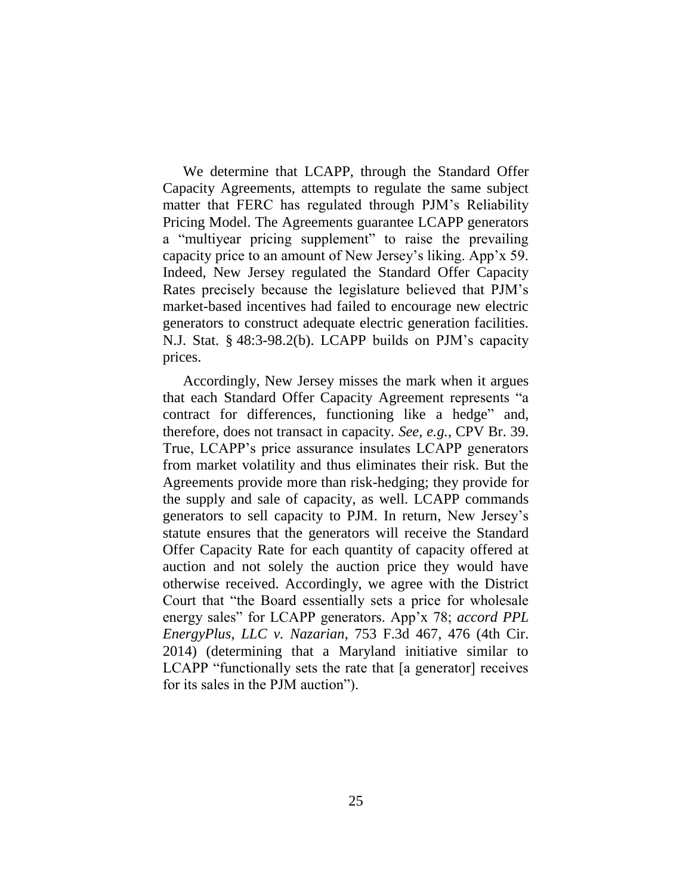We determine that LCAPP, through the Standard Offer Capacity Agreements, attempts to regulate the same subject matter that FERC has regulated through PJM's Reliability Pricing Model. The Agreements guarantee LCAPP generators a "multiyear pricing supplement" to raise the prevailing capacity price to an amount of New Jersey's liking. App'x 59. Indeed, New Jersey regulated the Standard Offer Capacity Rates precisely because the legislature believed that PJM's market-based incentives had failed to encourage new electric generators to construct adequate electric generation facilities. N.J. Stat. § 48:3-98.2(b). LCAPP builds on PJM's capacity prices.

Accordingly, New Jersey misses the mark when it argues that each Standard Offer Capacity Agreement represents "a contract for differences, functioning like a hedge" and, therefore, does not transact in capacity. *See, e.g.*, CPV Br. 39. True, LCAPP's price assurance insulates LCAPP generators from market volatility and thus eliminates their risk. But the Agreements provide more than risk-hedging; they provide for the supply and sale of capacity, as well. LCAPP commands generators to sell capacity to PJM. In return, New Jersey's statute ensures that the generators will receive the Standard Offer Capacity Rate for each quantity of capacity offered at auction and not solely the auction price they would have otherwise received. Accordingly, we agree with the District Court that "the Board essentially sets a price for wholesale energy sales" for LCAPP generators. App'x 78; *accord PPL EnergyPlus, LLC v. Nazarian*, 753 F.3d 467, 476 (4th Cir. 2014) (determining that a Maryland initiative similar to LCAPP "functionally sets the rate that [a generator] receives for its sales in the PJM auction").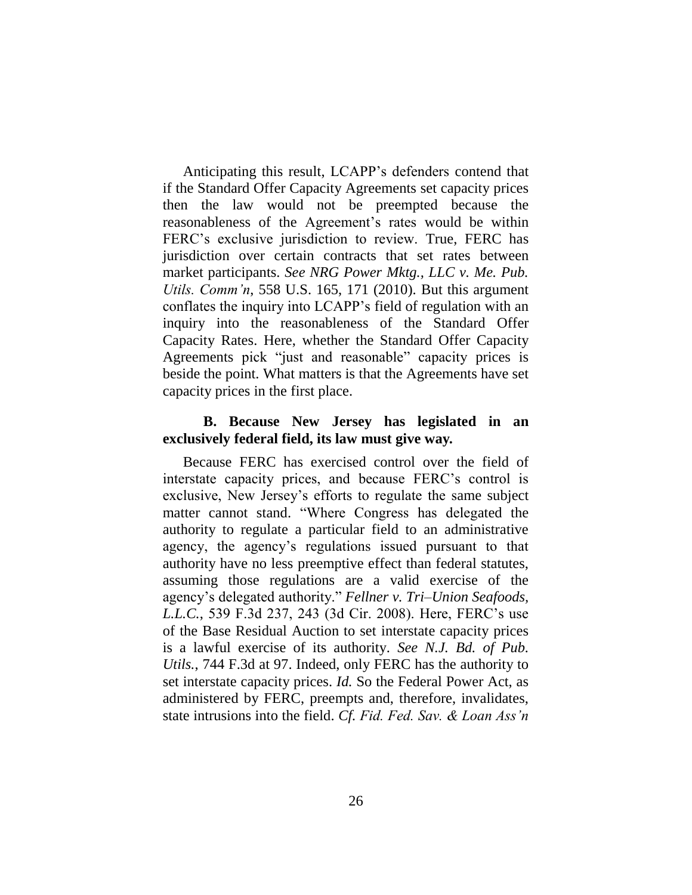Anticipating this result, LCAPP's defenders contend that if the Standard Offer Capacity Agreements set capacity prices then the law would not be preempted because the reasonableness of the Agreement's rates would be within FERC's exclusive jurisdiction to review. True, FERC has jurisdiction over certain contracts that set rates between market participants. *See NRG Power Mktg., LLC v. Me. Pub. Utils. Comm'n*, 558 U.S. 165, 171 (2010). But this argument conflates the inquiry into LCAPP's field of regulation with an inquiry into the reasonableness of the Standard Offer Capacity Rates. Here, whether the Standard Offer Capacity Agreements pick "just and reasonable" capacity prices is beside the point. What matters is that the Agreements have set capacity prices in the first place.

# **B. Because New Jersey has legislated in an exclusively federal field, its law must give way.**

Because FERC has exercised control over the field of interstate capacity prices, and because FERC's control is exclusive, New Jersey's efforts to regulate the same subject matter cannot stand. "Where Congress has delegated the authority to regulate a particular field to an administrative agency, the agency's regulations issued pursuant to that authority have no less preemptive effect than federal statutes, assuming those regulations are a valid exercise of the agency's delegated authority." *Fellner v. Tri–Union Seafoods, L.L.C.*, 539 F.3d 237, 243 (3d Cir. 2008). Here, FERC's use of the Base Residual Auction to set interstate capacity prices is a lawful exercise of its authority. *See N.J. Bd. of Pub. Utils.*, 744 F.3d at 97. Indeed, only FERC has the authority to set interstate capacity prices. *Id.* So the Federal Power Act, as administered by FERC, preempts and, therefore, invalidates, state intrusions into the field. *Cf. Fid. Fed. Sav. & Loan Ass'n*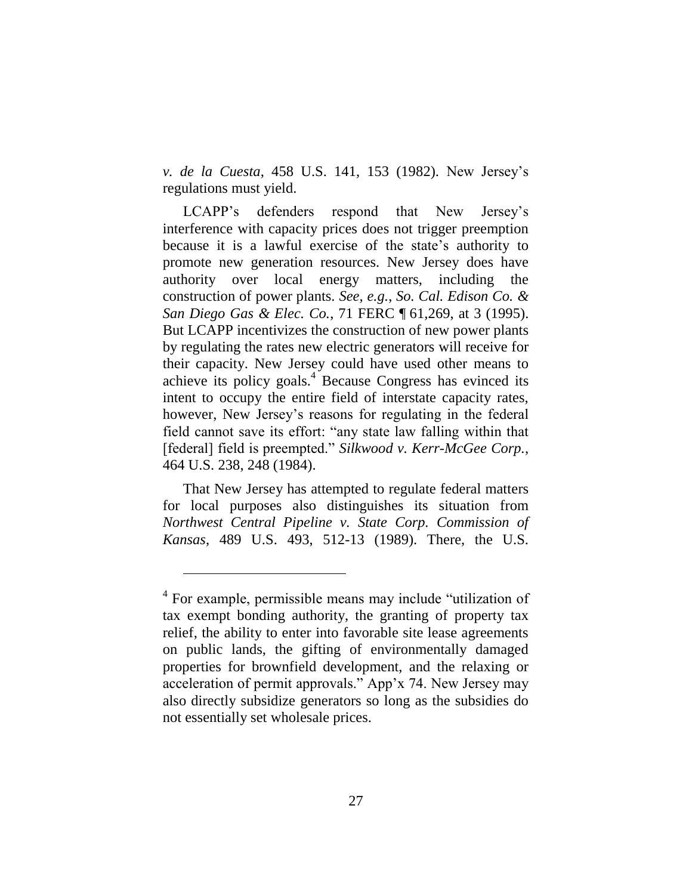*v. de la Cuesta*, 458 U.S. 141, 153 (1982). New Jersey's regulations must yield.

LCAPP's defenders respond that New Jersey's interference with capacity prices does not trigger preemption because it is a lawful exercise of the state's authority to promote new generation resources. New Jersey does have authority over local energy matters, including the construction of power plants. *See, e.g.*, *So. Cal. Edison Co. & San Diego Gas & Elec. Co.*, 71 FERC ¶ 61,269, at 3 (1995). But LCAPP incentivizes the construction of new power plants by regulating the rates new electric generators will receive for their capacity. New Jersey could have used other means to achieve its policy goals. $4$  Because Congress has evinced its intent to occupy the entire field of interstate capacity rates, however, New Jersey's reasons for regulating in the federal field cannot save its effort: "any state law falling within that [federal] field is preempted." *Silkwood v. Kerr-McGee Corp.*, 464 U.S. 238, 248 (1984).

That New Jersey has attempted to regulate federal matters for local purposes also distinguishes its situation from *Northwest Central Pipeline v. State Corp. Commission of Kansas*, 489 U.S. 493, 512-13 (1989). There, the U.S.

 $\overline{a}$ 

<sup>&</sup>lt;sup>4</sup> For example, permissible means may include "utilization of tax exempt bonding authority, the granting of property tax relief, the ability to enter into favorable site lease agreements on public lands, the gifting of environmentally damaged properties for brownfield development, and the relaxing or acceleration of permit approvals." App'x 74. New Jersey may also directly subsidize generators so long as the subsidies do not essentially set wholesale prices.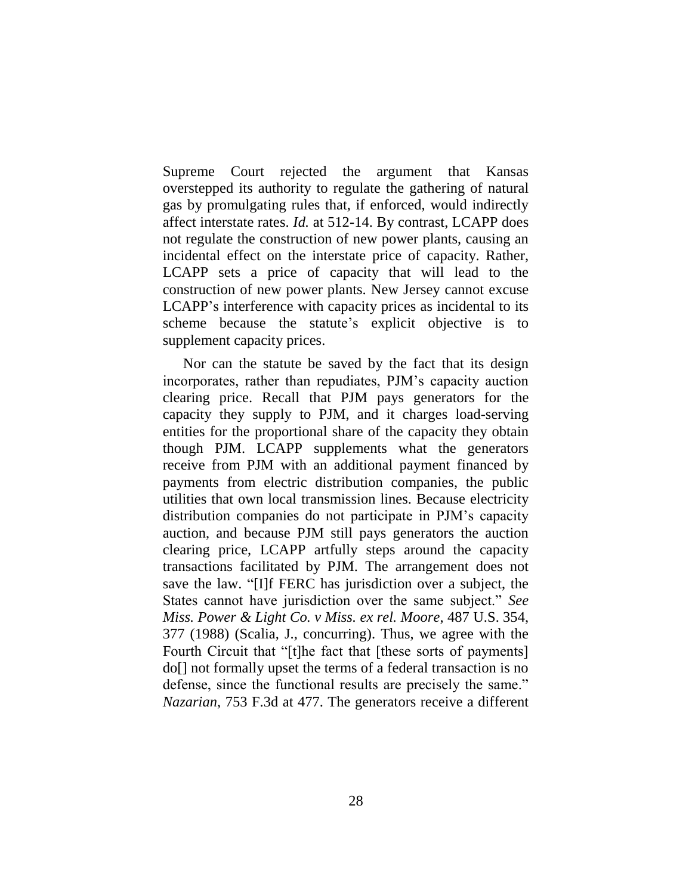Supreme Court rejected the argument that Kansas overstepped its authority to regulate the gathering of natural gas by promulgating rules that, if enforced, would indirectly affect interstate rates. *Id.* at 512-14. By contrast, LCAPP does not regulate the construction of new power plants, causing an incidental effect on the interstate price of capacity. Rather, LCAPP sets a price of capacity that will lead to the construction of new power plants. New Jersey cannot excuse LCAPP's interference with capacity prices as incidental to its scheme because the statute's explicit objective is to supplement capacity prices.

Nor can the statute be saved by the fact that its design incorporates, rather than repudiates, PJM's capacity auction clearing price. Recall that PJM pays generators for the capacity they supply to PJM, and it charges load-serving entities for the proportional share of the capacity they obtain though PJM. LCAPP supplements what the generators receive from PJM with an additional payment financed by payments from electric distribution companies, the public utilities that own local transmission lines. Because electricity distribution companies do not participate in PJM's capacity auction, and because PJM still pays generators the auction clearing price, LCAPP artfully steps around the capacity transactions facilitated by PJM. The arrangement does not save the law. "[I]f FERC has jurisdiction over a subject, the States cannot have jurisdiction over the same subject." *See Miss. Power & Light Co. v Miss. ex rel. Moore*, 487 U.S. 354, 377 (1988) (Scalia, J., concurring). Thus, we agree with the Fourth Circuit that "[t]he fact that [these sorts of payments] do[] not formally upset the terms of a federal transaction is no defense, since the functional results are precisely the same." *Nazarian*, 753 F.3d at 477. The generators receive a different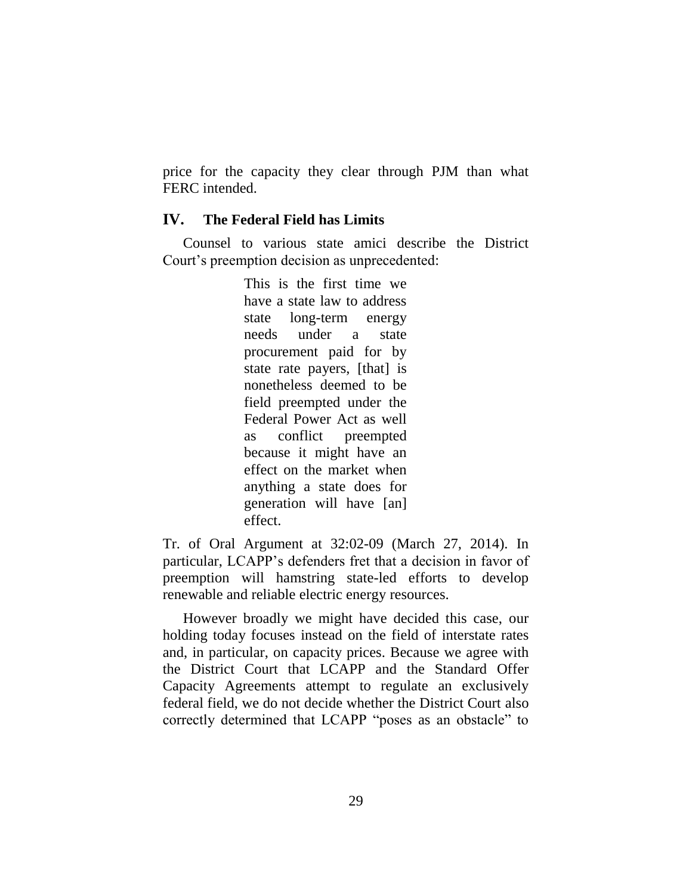price for the capacity they clear through PJM than what FERC intended.

# **IV. The Federal Field has Limits**

Counsel to various state amici describe the District Court's preemption decision as unprecedented:

> This is the first time we have a state law to address state long-term energy needs under a state procurement paid for by state rate payers, [that] is nonetheless deemed to be field preempted under the Federal Power Act as well as conflict preempted because it might have an effect on the market when anything a state does for generation will have [an] effect.

Tr. of Oral Argument at 32:02-09 (March 27, 2014). In particular, LCAPP's defenders fret that a decision in favor of preemption will hamstring state-led efforts to develop renewable and reliable electric energy resources.

However broadly we might have decided this case, our holding today focuses instead on the field of interstate rates and, in particular, on capacity prices. Because we agree with the District Court that LCAPP and the Standard Offer Capacity Agreements attempt to regulate an exclusively federal field, we do not decide whether the District Court also correctly determined that LCAPP "poses as an obstacle" to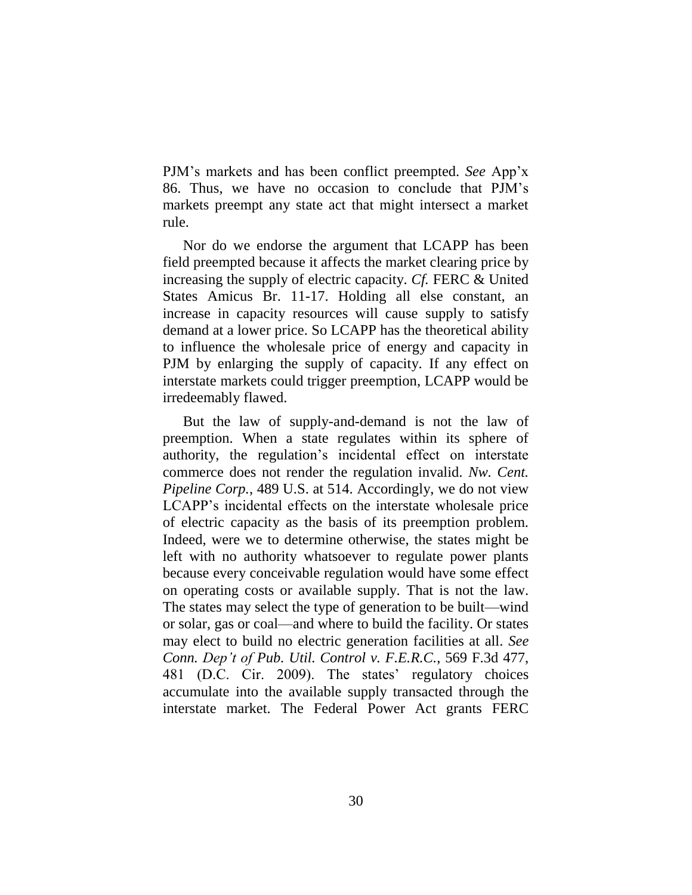PJM's markets and has been conflict preempted. *See* App'x 86. Thus, we have no occasion to conclude that PJM's markets preempt any state act that might intersect a market rule.

Nor do we endorse the argument that LCAPP has been field preempted because it affects the market clearing price by increasing the supply of electric capacity. *Cf.* FERC & United States Amicus Br. 11-17. Holding all else constant, an increase in capacity resources will cause supply to satisfy demand at a lower price. So LCAPP has the theoretical ability to influence the wholesale price of energy and capacity in PJM by enlarging the supply of capacity. If any effect on interstate markets could trigger preemption, LCAPP would be irredeemably flawed.

But the law of supply-and-demand is not the law of preemption. When a state regulates within its sphere of authority, the regulation's incidental effect on interstate commerce does not render the regulation invalid. *Nw. Cent. Pipeline Corp.*, 489 U.S. at 514. Accordingly, we do not view LCAPP's incidental effects on the interstate wholesale price of electric capacity as the basis of its preemption problem. Indeed, were we to determine otherwise, the states might be left with no authority whatsoever to regulate power plants because every conceivable regulation would have some effect on operating costs or available supply. That is not the law. The states may select the type of generation to be built—wind or solar, gas or coal—and where to build the facility. Or states may elect to build no electric generation facilities at all. *See Conn. Dep't of Pub. Util. Control v. F.E.R.C.*, 569 F.3d 477, 481 (D.C. Cir. 2009). The states' regulatory choices accumulate into the available supply transacted through the interstate market. The Federal Power Act grants FERC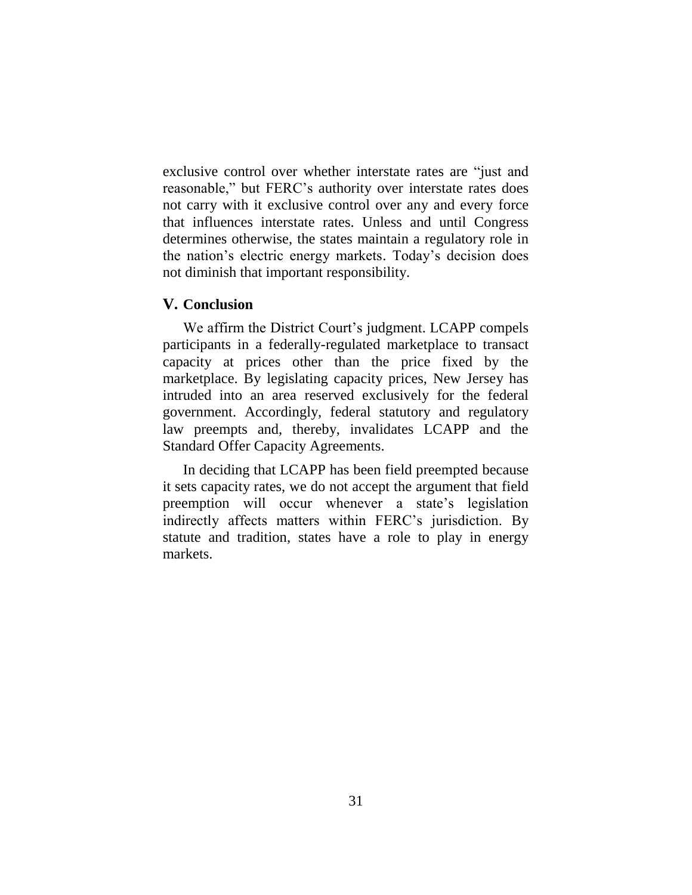exclusive control over whether interstate rates are "just and reasonable," but FERC's authority over interstate rates does not carry with it exclusive control over any and every force that influences interstate rates. Unless and until Congress determines otherwise, the states maintain a regulatory role in the nation's electric energy markets. Today's decision does not diminish that important responsibility.

### **V. Conclusion**

We affirm the District Court's judgment. LCAPP compels participants in a federally-regulated marketplace to transact capacity at prices other than the price fixed by the marketplace. By legislating capacity prices, New Jersey has intruded into an area reserved exclusively for the federal government. Accordingly, federal statutory and regulatory law preempts and, thereby, invalidates LCAPP and the Standard Offer Capacity Agreements.

In deciding that LCAPP has been field preempted because it sets capacity rates, we do not accept the argument that field preemption will occur whenever a state's legislation indirectly affects matters within FERC's jurisdiction. By statute and tradition, states have a role to play in energy markets.